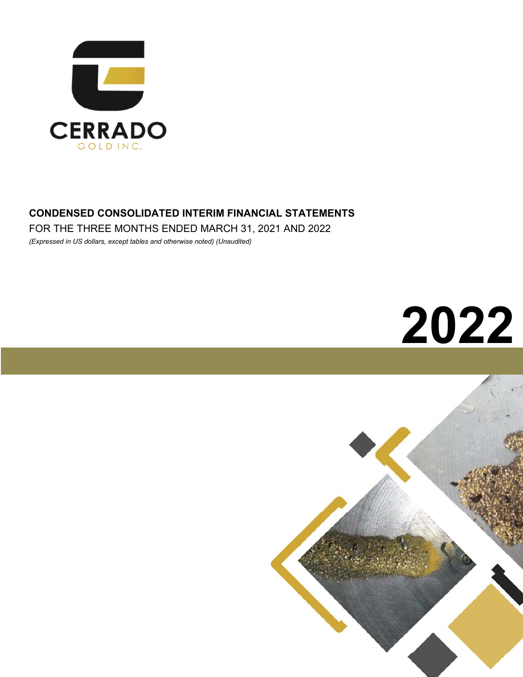

## **CONDENSED CONSOLIDATED INTERIM FINANCIAL STATEMENTS**

FOR THE THREE MONTHS ENDED MARCH 31, 2021 AND 2022

*(Expressed in US dollars, except tables and otherwise noted) (Unaudited)*

# **2022**

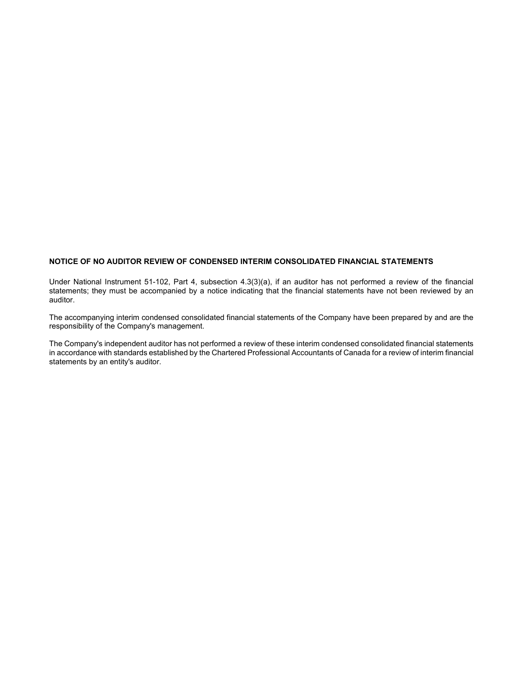#### **NOTICE OF NO AUDITOR REVIEW OF CONDENSED INTERIM CONSOLIDATED FINANCIAL STATEMENTS**

Under National Instrument 51-102, Part 4, subsection 4.3(3)(a), if an auditor has not performed a review of the financial statements; they must be accompanied by a notice indicating that the financial statements have not been reviewed by an auditor.

The accompanying interim condensed consolidated financial statements of the Company have been prepared by and are the responsibility of the Company's management.

The Company's independent auditor has not performed a review of these interim condensed consolidated financial statements in accordance with standards established by the Chartered Professional Accountants of Canada for a review of interim financial statements by an entity's auditor.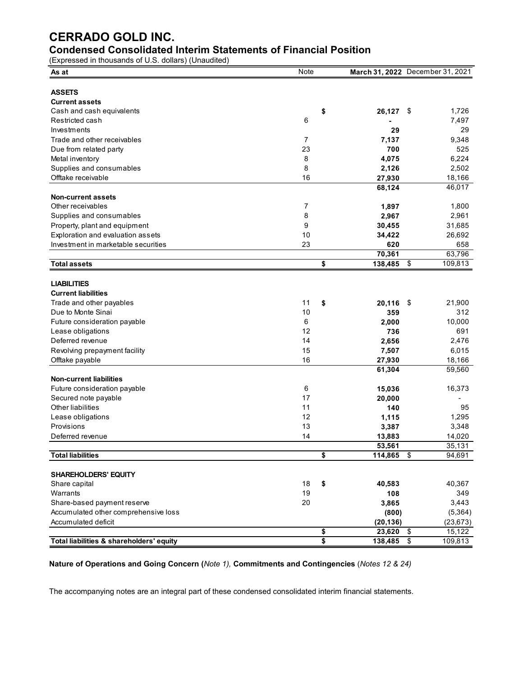## **Condensed Consolidated Interim Statements of Financial Position**

(Expressed in thousands of U.S. dollars) (Unaudited)

| <b>ASSETS</b><br><b>Current assets</b><br>\$<br>Cash and cash equivalents<br>26,127<br>\$<br>1,726<br>6<br>7,497<br>Restricted cash<br>Investments<br>29<br>29<br>Trade and other receivables<br>9,348<br>7<br>7,137<br>23<br>700<br>525<br>Due from related party<br>8<br>6,224<br>Metal inventory<br>4,075<br>8<br>Supplies and consumables<br>2,126<br>2,502<br>16<br>Offtake receivable<br>27,930<br>18,166<br>46,017<br>68,124<br><b>Non-current assets</b><br>Other receivables<br>7<br>1,800<br>1,897<br>8<br>2,961<br>Supplies and consumables<br>2,967<br>9<br>Property, plant and equipment<br>30,455<br>31,685<br>Exploration and evaluation assets<br>10<br>34,422<br>26,692<br>Investment in marketable securities<br>23<br>620<br>658<br>63,796<br>70,361<br>\$<br>\$<br>109,813<br><b>Total assets</b><br>138,485<br><b>LIABILITIES</b><br><b>Current liabilities</b><br>11<br>\$<br>20,116<br>21,900<br>Trade and other payables<br>\$<br>Due to Monte Sinai<br>10<br>312<br>359<br>6<br>10,000<br>Future consideration payable<br>2,000<br>12<br>736<br>691<br>Lease obligations<br>Deferred revenue<br>14<br>2,476<br>2,656<br>15<br>6,015<br>Revolving prepayment facility<br>7,507<br>16<br>Offtake payable<br>27,930<br>18,166<br>61,304<br>59,560<br><b>Non-current liabilities</b><br>6<br>Future consideration payable<br>16,373<br>15,036<br>Secured note payable<br>17<br>20,000<br>Other liabilities<br>11<br>140<br>95<br>12<br>Lease obligations<br>1,295<br>1,115<br>Provisions<br>13<br>3,348<br>3,387<br>14<br>14,020<br>Deferred revenue<br>13,883<br>35,131<br>53,561<br><b>Total liabilities</b><br>\$<br>\$<br>94,691<br>114,865<br><b>SHAREHOLDERS' EQUITY</b><br>40,367<br>Share capital<br>18<br>40,583<br>\$<br>Warrants<br>349<br>19<br>108<br>Share-based payment reserve<br>20<br>3,865<br>3,443<br>Accumulated other comprehensive loss<br>(800)<br>(5, 364)<br>Accumulated deficit<br>(20, 136)<br>(23, 673)<br>23,620<br>-\$<br>15,122<br>\$ | As at                                    | Note | March 31, 2022 December 31, 2021 |                         |         |
|--------------------------------------------------------------------------------------------------------------------------------------------------------------------------------------------------------------------------------------------------------------------------------------------------------------------------------------------------------------------------------------------------------------------------------------------------------------------------------------------------------------------------------------------------------------------------------------------------------------------------------------------------------------------------------------------------------------------------------------------------------------------------------------------------------------------------------------------------------------------------------------------------------------------------------------------------------------------------------------------------------------------------------------------------------------------------------------------------------------------------------------------------------------------------------------------------------------------------------------------------------------------------------------------------------------------------------------------------------------------------------------------------------------------------------------------------------------------------------------------------------------------------------------------------------------------------------------------------------------------------------------------------------------------------------------------------------------------------------------------------------------------------------------------------------------------------------------------------------------------------------------------------------------------------------------------------------------------------------------------|------------------------------------------|------|----------------------------------|-------------------------|---------|
|                                                                                                                                                                                                                                                                                                                                                                                                                                                                                                                                                                                                                                                                                                                                                                                                                                                                                                                                                                                                                                                                                                                                                                                                                                                                                                                                                                                                                                                                                                                                                                                                                                                                                                                                                                                                                                                                                                                                                                                            |                                          |      |                                  |                         |         |
|                                                                                                                                                                                                                                                                                                                                                                                                                                                                                                                                                                                                                                                                                                                                                                                                                                                                                                                                                                                                                                                                                                                                                                                                                                                                                                                                                                                                                                                                                                                                                                                                                                                                                                                                                                                                                                                                                                                                                                                            |                                          |      |                                  |                         |         |
|                                                                                                                                                                                                                                                                                                                                                                                                                                                                                                                                                                                                                                                                                                                                                                                                                                                                                                                                                                                                                                                                                                                                                                                                                                                                                                                                                                                                                                                                                                                                                                                                                                                                                                                                                                                                                                                                                                                                                                                            |                                          |      |                                  |                         |         |
|                                                                                                                                                                                                                                                                                                                                                                                                                                                                                                                                                                                                                                                                                                                                                                                                                                                                                                                                                                                                                                                                                                                                                                                                                                                                                                                                                                                                                                                                                                                                                                                                                                                                                                                                                                                                                                                                                                                                                                                            |                                          |      |                                  |                         |         |
|                                                                                                                                                                                                                                                                                                                                                                                                                                                                                                                                                                                                                                                                                                                                                                                                                                                                                                                                                                                                                                                                                                                                                                                                                                                                                                                                                                                                                                                                                                                                                                                                                                                                                                                                                                                                                                                                                                                                                                                            |                                          |      |                                  |                         |         |
|                                                                                                                                                                                                                                                                                                                                                                                                                                                                                                                                                                                                                                                                                                                                                                                                                                                                                                                                                                                                                                                                                                                                                                                                                                                                                                                                                                                                                                                                                                                                                                                                                                                                                                                                                                                                                                                                                                                                                                                            |                                          |      |                                  |                         |         |
|                                                                                                                                                                                                                                                                                                                                                                                                                                                                                                                                                                                                                                                                                                                                                                                                                                                                                                                                                                                                                                                                                                                                                                                                                                                                                                                                                                                                                                                                                                                                                                                                                                                                                                                                                                                                                                                                                                                                                                                            |                                          |      |                                  |                         |         |
|                                                                                                                                                                                                                                                                                                                                                                                                                                                                                                                                                                                                                                                                                                                                                                                                                                                                                                                                                                                                                                                                                                                                                                                                                                                                                                                                                                                                                                                                                                                                                                                                                                                                                                                                                                                                                                                                                                                                                                                            |                                          |      |                                  |                         |         |
|                                                                                                                                                                                                                                                                                                                                                                                                                                                                                                                                                                                                                                                                                                                                                                                                                                                                                                                                                                                                                                                                                                                                                                                                                                                                                                                                                                                                                                                                                                                                                                                                                                                                                                                                                                                                                                                                                                                                                                                            |                                          |      |                                  |                         |         |
|                                                                                                                                                                                                                                                                                                                                                                                                                                                                                                                                                                                                                                                                                                                                                                                                                                                                                                                                                                                                                                                                                                                                                                                                                                                                                                                                                                                                                                                                                                                                                                                                                                                                                                                                                                                                                                                                                                                                                                                            |                                          |      |                                  |                         |         |
|                                                                                                                                                                                                                                                                                                                                                                                                                                                                                                                                                                                                                                                                                                                                                                                                                                                                                                                                                                                                                                                                                                                                                                                                                                                                                                                                                                                                                                                                                                                                                                                                                                                                                                                                                                                                                                                                                                                                                                                            |                                          |      |                                  |                         |         |
|                                                                                                                                                                                                                                                                                                                                                                                                                                                                                                                                                                                                                                                                                                                                                                                                                                                                                                                                                                                                                                                                                                                                                                                                                                                                                                                                                                                                                                                                                                                                                                                                                                                                                                                                                                                                                                                                                                                                                                                            |                                          |      |                                  |                         |         |
|                                                                                                                                                                                                                                                                                                                                                                                                                                                                                                                                                                                                                                                                                                                                                                                                                                                                                                                                                                                                                                                                                                                                                                                                                                                                                                                                                                                                                                                                                                                                                                                                                                                                                                                                                                                                                                                                                                                                                                                            |                                          |      |                                  |                         |         |
|                                                                                                                                                                                                                                                                                                                                                                                                                                                                                                                                                                                                                                                                                                                                                                                                                                                                                                                                                                                                                                                                                                                                                                                                                                                                                                                                                                                                                                                                                                                                                                                                                                                                                                                                                                                                                                                                                                                                                                                            |                                          |      |                                  |                         |         |
|                                                                                                                                                                                                                                                                                                                                                                                                                                                                                                                                                                                                                                                                                                                                                                                                                                                                                                                                                                                                                                                                                                                                                                                                                                                                                                                                                                                                                                                                                                                                                                                                                                                                                                                                                                                                                                                                                                                                                                                            |                                          |      |                                  |                         |         |
|                                                                                                                                                                                                                                                                                                                                                                                                                                                                                                                                                                                                                                                                                                                                                                                                                                                                                                                                                                                                                                                                                                                                                                                                                                                                                                                                                                                                                                                                                                                                                                                                                                                                                                                                                                                                                                                                                                                                                                                            |                                          |      |                                  |                         |         |
|                                                                                                                                                                                                                                                                                                                                                                                                                                                                                                                                                                                                                                                                                                                                                                                                                                                                                                                                                                                                                                                                                                                                                                                                                                                                                                                                                                                                                                                                                                                                                                                                                                                                                                                                                                                                                                                                                                                                                                                            |                                          |      |                                  |                         |         |
|                                                                                                                                                                                                                                                                                                                                                                                                                                                                                                                                                                                                                                                                                                                                                                                                                                                                                                                                                                                                                                                                                                                                                                                                                                                                                                                                                                                                                                                                                                                                                                                                                                                                                                                                                                                                                                                                                                                                                                                            |                                          |      |                                  |                         |         |
|                                                                                                                                                                                                                                                                                                                                                                                                                                                                                                                                                                                                                                                                                                                                                                                                                                                                                                                                                                                                                                                                                                                                                                                                                                                                                                                                                                                                                                                                                                                                                                                                                                                                                                                                                                                                                                                                                                                                                                                            |                                          |      |                                  |                         |         |
|                                                                                                                                                                                                                                                                                                                                                                                                                                                                                                                                                                                                                                                                                                                                                                                                                                                                                                                                                                                                                                                                                                                                                                                                                                                                                                                                                                                                                                                                                                                                                                                                                                                                                                                                                                                                                                                                                                                                                                                            |                                          |      |                                  |                         |         |
|                                                                                                                                                                                                                                                                                                                                                                                                                                                                                                                                                                                                                                                                                                                                                                                                                                                                                                                                                                                                                                                                                                                                                                                                                                                                                                                                                                                                                                                                                                                                                                                                                                                                                                                                                                                                                                                                                                                                                                                            |                                          |      |                                  |                         |         |
|                                                                                                                                                                                                                                                                                                                                                                                                                                                                                                                                                                                                                                                                                                                                                                                                                                                                                                                                                                                                                                                                                                                                                                                                                                                                                                                                                                                                                                                                                                                                                                                                                                                                                                                                                                                                                                                                                                                                                                                            |                                          |      |                                  |                         |         |
|                                                                                                                                                                                                                                                                                                                                                                                                                                                                                                                                                                                                                                                                                                                                                                                                                                                                                                                                                                                                                                                                                                                                                                                                                                                                                                                                                                                                                                                                                                                                                                                                                                                                                                                                                                                                                                                                                                                                                                                            |                                          |      |                                  |                         |         |
|                                                                                                                                                                                                                                                                                                                                                                                                                                                                                                                                                                                                                                                                                                                                                                                                                                                                                                                                                                                                                                                                                                                                                                                                                                                                                                                                                                                                                                                                                                                                                                                                                                                                                                                                                                                                                                                                                                                                                                                            |                                          |      |                                  |                         |         |
|                                                                                                                                                                                                                                                                                                                                                                                                                                                                                                                                                                                                                                                                                                                                                                                                                                                                                                                                                                                                                                                                                                                                                                                                                                                                                                                                                                                                                                                                                                                                                                                                                                                                                                                                                                                                                                                                                                                                                                                            |                                          |      |                                  |                         |         |
|                                                                                                                                                                                                                                                                                                                                                                                                                                                                                                                                                                                                                                                                                                                                                                                                                                                                                                                                                                                                                                                                                                                                                                                                                                                                                                                                                                                                                                                                                                                                                                                                                                                                                                                                                                                                                                                                                                                                                                                            |                                          |      |                                  |                         |         |
|                                                                                                                                                                                                                                                                                                                                                                                                                                                                                                                                                                                                                                                                                                                                                                                                                                                                                                                                                                                                                                                                                                                                                                                                                                                                                                                                                                                                                                                                                                                                                                                                                                                                                                                                                                                                                                                                                                                                                                                            |                                          |      |                                  |                         |         |
|                                                                                                                                                                                                                                                                                                                                                                                                                                                                                                                                                                                                                                                                                                                                                                                                                                                                                                                                                                                                                                                                                                                                                                                                                                                                                                                                                                                                                                                                                                                                                                                                                                                                                                                                                                                                                                                                                                                                                                                            |                                          |      |                                  |                         |         |
|                                                                                                                                                                                                                                                                                                                                                                                                                                                                                                                                                                                                                                                                                                                                                                                                                                                                                                                                                                                                                                                                                                                                                                                                                                                                                                                                                                                                                                                                                                                                                                                                                                                                                                                                                                                                                                                                                                                                                                                            |                                          |      |                                  |                         |         |
|                                                                                                                                                                                                                                                                                                                                                                                                                                                                                                                                                                                                                                                                                                                                                                                                                                                                                                                                                                                                                                                                                                                                                                                                                                                                                                                                                                                                                                                                                                                                                                                                                                                                                                                                                                                                                                                                                                                                                                                            |                                          |      |                                  |                         |         |
|                                                                                                                                                                                                                                                                                                                                                                                                                                                                                                                                                                                                                                                                                                                                                                                                                                                                                                                                                                                                                                                                                                                                                                                                                                                                                                                                                                                                                                                                                                                                                                                                                                                                                                                                                                                                                                                                                                                                                                                            |                                          |      |                                  |                         |         |
|                                                                                                                                                                                                                                                                                                                                                                                                                                                                                                                                                                                                                                                                                                                                                                                                                                                                                                                                                                                                                                                                                                                                                                                                                                                                                                                                                                                                                                                                                                                                                                                                                                                                                                                                                                                                                                                                                                                                                                                            |                                          |      |                                  |                         |         |
|                                                                                                                                                                                                                                                                                                                                                                                                                                                                                                                                                                                                                                                                                                                                                                                                                                                                                                                                                                                                                                                                                                                                                                                                                                                                                                                                                                                                                                                                                                                                                                                                                                                                                                                                                                                                                                                                                                                                                                                            |                                          |      |                                  |                         |         |
|                                                                                                                                                                                                                                                                                                                                                                                                                                                                                                                                                                                                                                                                                                                                                                                                                                                                                                                                                                                                                                                                                                                                                                                                                                                                                                                                                                                                                                                                                                                                                                                                                                                                                                                                                                                                                                                                                                                                                                                            |                                          |      |                                  |                         |         |
|                                                                                                                                                                                                                                                                                                                                                                                                                                                                                                                                                                                                                                                                                                                                                                                                                                                                                                                                                                                                                                                                                                                                                                                                                                                                                                                                                                                                                                                                                                                                                                                                                                                                                                                                                                                                                                                                                                                                                                                            |                                          |      |                                  |                         |         |
|                                                                                                                                                                                                                                                                                                                                                                                                                                                                                                                                                                                                                                                                                                                                                                                                                                                                                                                                                                                                                                                                                                                                                                                                                                                                                                                                                                                                                                                                                                                                                                                                                                                                                                                                                                                                                                                                                                                                                                                            |                                          |      |                                  |                         |         |
|                                                                                                                                                                                                                                                                                                                                                                                                                                                                                                                                                                                                                                                                                                                                                                                                                                                                                                                                                                                                                                                                                                                                                                                                                                                                                                                                                                                                                                                                                                                                                                                                                                                                                                                                                                                                                                                                                                                                                                                            |                                          |      |                                  |                         |         |
|                                                                                                                                                                                                                                                                                                                                                                                                                                                                                                                                                                                                                                                                                                                                                                                                                                                                                                                                                                                                                                                                                                                                                                                                                                                                                                                                                                                                                                                                                                                                                                                                                                                                                                                                                                                                                                                                                                                                                                                            |                                          |      |                                  |                         |         |
|                                                                                                                                                                                                                                                                                                                                                                                                                                                                                                                                                                                                                                                                                                                                                                                                                                                                                                                                                                                                                                                                                                                                                                                                                                                                                                                                                                                                                                                                                                                                                                                                                                                                                                                                                                                                                                                                                                                                                                                            |                                          |      |                                  |                         |         |
|                                                                                                                                                                                                                                                                                                                                                                                                                                                                                                                                                                                                                                                                                                                                                                                                                                                                                                                                                                                                                                                                                                                                                                                                                                                                                                                                                                                                                                                                                                                                                                                                                                                                                                                                                                                                                                                                                                                                                                                            |                                          |      |                                  |                         |         |
|                                                                                                                                                                                                                                                                                                                                                                                                                                                                                                                                                                                                                                                                                                                                                                                                                                                                                                                                                                                                                                                                                                                                                                                                                                                                                                                                                                                                                                                                                                                                                                                                                                                                                                                                                                                                                                                                                                                                                                                            |                                          |      |                                  |                         |         |
|                                                                                                                                                                                                                                                                                                                                                                                                                                                                                                                                                                                                                                                                                                                                                                                                                                                                                                                                                                                                                                                                                                                                                                                                                                                                                                                                                                                                                                                                                                                                                                                                                                                                                                                                                                                                                                                                                                                                                                                            |                                          |      |                                  |                         |         |
|                                                                                                                                                                                                                                                                                                                                                                                                                                                                                                                                                                                                                                                                                                                                                                                                                                                                                                                                                                                                                                                                                                                                                                                                                                                                                                                                                                                                                                                                                                                                                                                                                                                                                                                                                                                                                                                                                                                                                                                            |                                          |      |                                  |                         |         |
|                                                                                                                                                                                                                                                                                                                                                                                                                                                                                                                                                                                                                                                                                                                                                                                                                                                                                                                                                                                                                                                                                                                                                                                                                                                                                                                                                                                                                                                                                                                                                                                                                                                                                                                                                                                                                                                                                                                                                                                            |                                          |      |                                  |                         |         |
|                                                                                                                                                                                                                                                                                                                                                                                                                                                                                                                                                                                                                                                                                                                                                                                                                                                                                                                                                                                                                                                                                                                                                                                                                                                                                                                                                                                                                                                                                                                                                                                                                                                                                                                                                                                                                                                                                                                                                                                            |                                          |      |                                  |                         |         |
|                                                                                                                                                                                                                                                                                                                                                                                                                                                                                                                                                                                                                                                                                                                                                                                                                                                                                                                                                                                                                                                                                                                                                                                                                                                                                                                                                                                                                                                                                                                                                                                                                                                                                                                                                                                                                                                                                                                                                                                            |                                          |      |                                  |                         |         |
|                                                                                                                                                                                                                                                                                                                                                                                                                                                                                                                                                                                                                                                                                                                                                                                                                                                                                                                                                                                                                                                                                                                                                                                                                                                                                                                                                                                                                                                                                                                                                                                                                                                                                                                                                                                                                                                                                                                                                                                            |                                          |      |                                  |                         |         |
|                                                                                                                                                                                                                                                                                                                                                                                                                                                                                                                                                                                                                                                                                                                                                                                                                                                                                                                                                                                                                                                                                                                                                                                                                                                                                                                                                                                                                                                                                                                                                                                                                                                                                                                                                                                                                                                                                                                                                                                            |                                          |      |                                  |                         |         |
|                                                                                                                                                                                                                                                                                                                                                                                                                                                                                                                                                                                                                                                                                                                                                                                                                                                                                                                                                                                                                                                                                                                                                                                                                                                                                                                                                                                                                                                                                                                                                                                                                                                                                                                                                                                                                                                                                                                                                                                            | Total liabilities & shareholders' equity |      | \$<br>138,485                    | $\overline{\mathbf{S}}$ | 109,813 |

**Nature of Operations and Going Concern (***Note 1),* **Commitments and Contingencies** (*Notes 12 & 24)*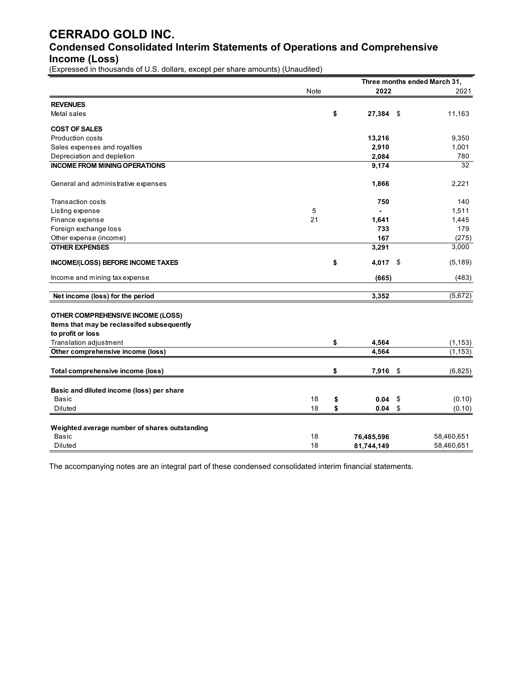## **CERRADO GOLD INC. Condensed Consolidated Interim Statements of Operations and Comprehensive Income (Loss)**

(Expressed in thousands of U.S. dollars, except per share amounts) (Unaudited)

|                                               |      |                   | Three months ended March 31, |
|-----------------------------------------------|------|-------------------|------------------------------|
|                                               | Note | 2022              | 2021                         |
| <b>REVENUES</b>                               |      |                   |                              |
| Metal sales                                   |      | \$<br>$27,384$ \$ | 11,163                       |
| <b>COST OF SALES</b>                          |      |                   |                              |
| Production costs                              |      | 13,216            | 9,350                        |
| Sales expenses and royalties                  |      | 2,910             | 1,001                        |
| Depreciation and depletion                    |      | 2,084             | 780                          |
| <b>INCOME FROM MINING OPERATIONS</b>          |      | 9,174             | 32                           |
| General and administrative expenses           |      | 1,866             | 2,221                        |
| Transaction costs                             |      | 750               | 140                          |
| Listing expense                               | 5    |                   | 1,511                        |
| Finance expense                               | 21   | 1,641             | 1,445                        |
| Foreign exchange loss                         |      | 733               | 179                          |
| Other expense (income)                        |      | 167               | (275)                        |
| <b>OTHER EXPENSES</b>                         |      | 3,291             | 3,000                        |
| INCOME/(LOSS) BEFORE INCOME TAXES             |      | \$<br>4,017       | \$<br>(5, 189)               |
| Income and mining tax expense                 |      | (665)             | (483)                        |
| Net income (loss) for the period              |      | 3,352             | (5,672)                      |
| OTHER COMPREHENSIVE INCOME (LOSS)             |      |                   |                              |
| Items that may be reclassifed subsequently    |      |                   |                              |
| to profit or loss                             |      |                   |                              |
| Translation adjustment                        |      | \$<br>4,564       | (1, 153)                     |
| Other comprehensive income (loss)             |      | 4,564             | (1, 153)                     |
| Total comprehensive income (loss)             |      | \$<br>7,916       | \$<br>(6,825)                |
| Basic and diluted income (loss) per share     |      |                   |                              |
| <b>Basic</b>                                  | 18   | \$<br>0.04        | \$<br>(0.10)                 |
| Diluted                                       | 18   | \$<br>0.04        | \$<br>(0.10)                 |
|                                               |      |                   |                              |
| Weighted average number of shares outstanding |      |                   |                              |
| <b>Basic</b>                                  | 18   | 76,485,596        | 58,460,651                   |
| Diluted                                       | 18   | 81,744,149        | 58,460,651                   |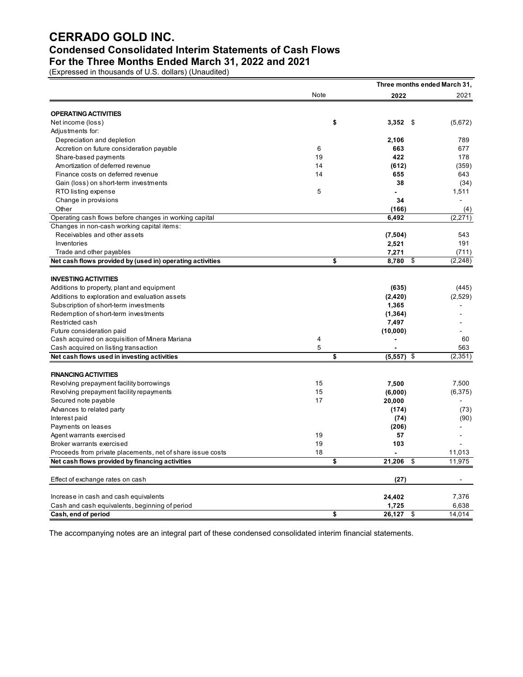## **Condensed Consolidated Interim Statements of Cash Flows**

**For the Three Months Ended March 31, 2022 and 2021** 

(Expressed in thousands of U.S. dollars) (Unaudited)

|                                                            |      |                          | Three months ended March 31, |
|------------------------------------------------------------|------|--------------------------|------------------------------|
|                                                            | Note | 2022                     | 2021                         |
| <b>OPERATING ACTIVITIES</b>                                |      |                          |                              |
| Net income (loss)                                          |      | \$<br>$3,352$ \$         | (5,672)                      |
| Adjustments for:                                           |      |                          |                              |
| Depreciation and depletion                                 |      | 2,106                    | 789                          |
| Accretion on future consideration payable                  | 6    | 663                      | 677                          |
| Share-based payments                                       | 19   | 422                      | 178                          |
| Amortization of deferred revenue                           | 14   | (612)                    | (359)                        |
| Finance costs on deferred revenue                          | 14   | 655                      | 643                          |
| Gain (loss) on short-term investments                      |      | 38                       | (34)                         |
| RTO listing expense                                        | 5    |                          | 1,511                        |
| Change in provisions                                       |      | 34                       | ٠                            |
| Other                                                      |      | (166)                    | (4)                          |
| Operating cash flows before changes in working capital     |      | 6,492                    | (2, 271)                     |
| Changes in non-cash working capital items:                 |      |                          |                              |
| Receivables and other assets                               |      | (7,504)                  | 543                          |
| Inventories                                                |      | 2,521                    | 191                          |
| Trade and other payables                                   |      | 7,271                    | (711)                        |
| Net cash flows provided by (used in) operating activities  |      | \$<br>8,780              | \$<br>(2, 248)               |
| <b>INVESTING ACTIVITIES</b>                                |      |                          |                              |
| Additions to property, plant and equipment                 |      | (635)                    | (445)                        |
| Additions to exploration and evaluation assets             |      | (2,420)                  | (2,529)                      |
| Subscription of short-term investments                     |      | 1,365                    |                              |
| Redemption of short-term investments                       |      | (1, 364)                 |                              |
| Restricted cash                                            |      | 7,497                    |                              |
| Future consideration paid                                  |      | (10,000)                 |                              |
| Cash acquired on acquisition of Minera Mariana             | 4    | $\overline{\phantom{0}}$ | 60                           |
| Cash acquired on listing transaction                       | 5    |                          | 563                          |
| Net cash flows used in investing activities                |      | \$<br>$(5,557)$ \$       | (2, 351)                     |
|                                                            |      |                          |                              |
| <b>FINANCING ACTIVITIES</b>                                |      |                          |                              |
| Revolving prepayment facility borrowings                   | 15   | 7,500                    | 7,500                        |
| Revolving prepayment facility repayments                   | 15   | (6,000)                  | (6, 375)                     |
| Secured note payable                                       | 17   | 20,000                   |                              |
| Advances to related party                                  |      | (174)                    | (73)                         |
| Interest paid                                              |      | (74)                     | (90)                         |
| Payments on leases                                         |      | (206)                    |                              |
| Agent warrants exercised                                   | 19   | 57                       |                              |
| Broker warrants exercised                                  | 19   | 103                      |                              |
| Proceeds from private placements, net of share issue costs | 18   |                          | 11,013                       |
| Net cash flows provided by financing activities            |      | \$<br>21,206             | \$<br>11,975                 |
| Effect of exchange rates on cash                           |      | (27)                     |                              |
| Increase in cash and cash equivalents                      |      | 24,402                   | 7,376                        |
| Cash and cash equivalents, beginning of period             |      | 1,725                    | 6,638                        |
| Cash, end of period                                        |      | \$<br>26,127             | \$<br>14,014                 |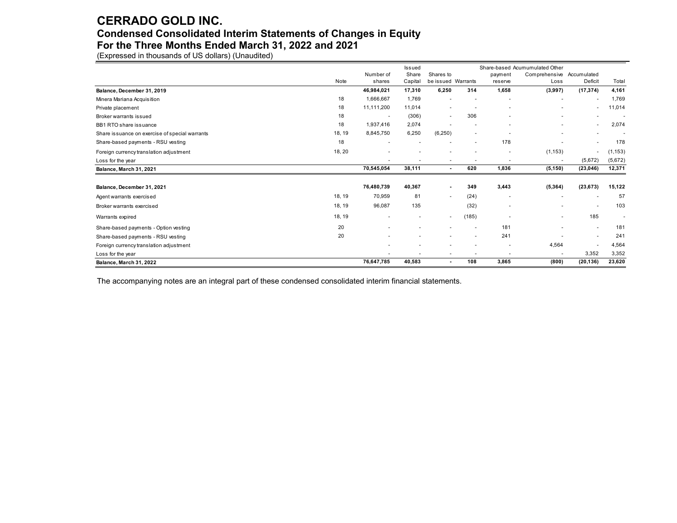#### **Condensed Consolidated Interim Statements of Changes in Equity**

**For the Three Months Ended March 31, 2022 and 2021** 

(Expressed in thousands of US dollars) (Unaudited)

|                                                |        |            | Issued                   |                          |                          |                          | Share-based Acumumulated Other |                          |          |
|------------------------------------------------|--------|------------|--------------------------|--------------------------|--------------------------|--------------------------|--------------------------------|--------------------------|----------|
|                                                |        | Number of  | Share                    | Shares to                |                          | payment                  | Comprehensive                  | Accumulated              |          |
|                                                | Note   | shares     | Capital                  | be issued Warrants       |                          | reserve                  | Loss                           | Deficit                  | Total    |
| Balance, December 31, 2019                     |        | 46,984,021 | 17,310                   | 6,250                    | 314                      | 1,658                    | (3,997)                        | (17, 374)                | 4,161    |
| Minera Mariana Acquisition                     | 18     | 1,666,667  | 1,769                    |                          |                          |                          | $\overline{\phantom{a}}$       | $\overline{\phantom{a}}$ | 1,769    |
| Private placement                              | 18     | 11,111,200 | 11.014                   | ٠                        |                          | $\overline{\phantom{a}}$ |                                | ٠                        | 11,014   |
| Broker warrants issued                         | 18     | $\sim$     | (306)                    | ٠                        | 306                      |                          |                                |                          |          |
| BB1 RTO share issuance                         | 18     | 1,937,416  | 2,074                    |                          |                          |                          | $\overline{\phantom{0}}$       | $\sim$                   | 2,074    |
| Share issuance on exercise of special warrants | 18, 19 | 8,845,750  | 6,250                    | (6, 250)                 |                          |                          |                                |                          |          |
| Share-based payments - RSU vesting             | 18     |            |                          |                          |                          | 178                      |                                | $\overline{a}$           | 178      |
| Foreign currency translation adjustment        | 18, 20 |            |                          | -                        |                          | $\overline{\phantom{a}}$ | (1, 153)                       | $\overline{\phantom{a}}$ | (1, 153) |
| Loss for the year                              |        |            |                          | $\overline{\phantom{a}}$ |                          |                          |                                | (5,672)                  | (5,672)  |
| Balance, March 31, 2021                        |        | 70,545,054 | 38,111                   | $\blacksquare$           | 620                      | 1,836                    | (5, 150)                       | (23,046)                 | 12,371   |
|                                                |        |            |                          |                          |                          |                          |                                |                          |          |
| Balance, December 31, 2021                     |        | 76,480,739 | 40,367                   |                          | 349                      | 3,443                    | (5, 364)                       | (23, 673)                | 15,122   |
| Agent warrants exercised                       | 18, 19 | 70,959     | 81                       | ٠                        | (24)                     | $\overline{\phantom{a}}$ |                                | $\overline{a}$           | 57       |
| Broker warrants exercised                      | 18, 19 | 96,087     | 135                      |                          | (32)                     |                          |                                | $\overline{\phantom{a}}$ | 103      |
| Warrants expired                               | 18, 19 |            | $\overline{\phantom{a}}$ | ٠                        | (185)                    |                          | ٠                              | 185                      |          |
| Share-based payments - Option vesting          | 20     |            |                          |                          | $\overline{\phantom{a}}$ | 181                      |                                | $\sim$                   | 181      |
| Share-based payments - RSU vesting             | 20     |            |                          |                          |                          | 241                      |                                | $\blacksquare$           | 241      |
| Foreign currency translation adjustment        |        |            |                          |                          |                          | $\overline{\phantom{a}}$ | 4,564                          | $\blacksquare$           | 4,564    |
| Loss for the year                              |        |            |                          |                          |                          | $\overline{\phantom{a}}$ |                                | 3,352                    | 3,352    |
| Balance, March 31, 2022                        |        | 76,647,785 | 40,583                   | $\blacksquare$           | 108                      | 3,865                    | (800)                          | (20, 136)                | 23,620   |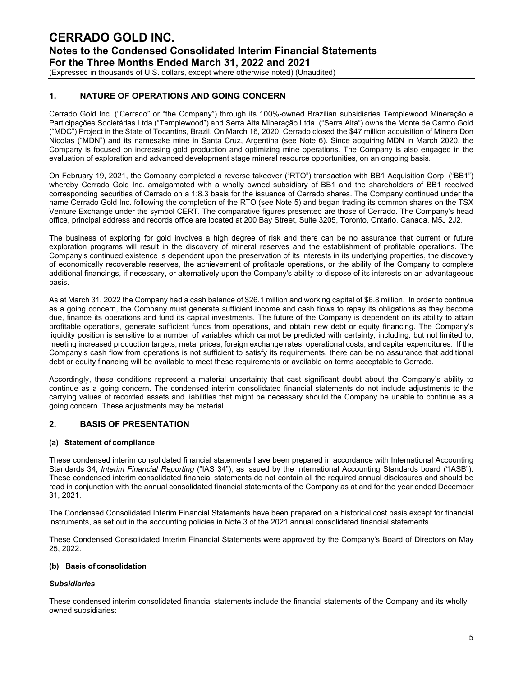(Expressed in thousands of U.S. dollars, except where otherwise noted) (Unaudited)

#### **1. NATURE OF OPERATIONS AND GOING CONCERN**

Cerrado Gold Inc. ("Cerrado" or "the Company") through its 100%-owned Brazilian subsidiaries Templewood Mineração e Participações Societárias Ltda ("Templewood") and Serra Alta Mineração Ltda. ("Serra Alta") owns the Monte de Carmo Gold ("MDC") Project in the State of Tocantins, Brazil. On March 16, 2020, Cerrado closed the \$47 million acquisition of Minera Don Nicolas ("MDN") and its namesake mine in Santa Cruz, Argentina (see Note 6). Since acquiring MDN in March 2020, the Company is focused on increasing gold production and optimizing mine operations. The Company is also engaged in the evaluation of exploration and advanced development stage mineral resource opportunities, on an ongoing basis.

On February 19, 2021, the Company completed a reverse takeover ("RTO") transaction with BB1 Acquisition Corp. ("BB1") whereby Cerrado Gold Inc. amalgamated with a wholly owned subsidiary of BB1 and the shareholders of BB1 received corresponding securities of Cerrado on a 1:8.3 basis for the issuance of Cerrado shares. The Company continued under the name Cerrado Gold Inc. following the completion of the RTO (see Note 5) and began trading its common shares on the TSX Venture Exchange under the symbol CERT. The comparative figures presented are those of Cerrado. The Company's head office, principal address and records office are located at 200 Bay Street, Suite 3205, Toronto, Ontario, Canada, M5J 2J2.

The business of exploring for gold involves a high degree of risk and there can be no assurance that current or future exploration programs will result in the discovery of mineral reserves and the establishment of profitable operations. The Company's continued existence is dependent upon the preservation of its interests in its underlying properties, the discovery of economically recoverable reserves, the achievement of profitable operations, or the ability of the Company to complete additional financings, if necessary, or alternatively upon the Company's ability to dispose of its interests on an advantageous basis.

As at March 31, 2022 the Company had a cash balance of \$26.1 million and working capital of \$6.8 million. In order to continue as a going concern, the Company must generate sufficient income and cash flows to repay its obligations as they become due, finance its operations and fund its capital investments. The future of the Company is dependent on its ability to attain profitable operations, generate sufficient funds from operations, and obtain new debt or equity financing. The Company's liquidity position is sensitive to a number of variables which cannot be predicted with certainty, including, but not limited to, meeting increased production targets, metal prices, foreign exchange rates, operational costs, and capital expenditures. If the Company's cash flow from operations is not sufficient to satisfy its requirements, there can be no assurance that additional debt or equity financing will be available to meet these requirements or available on terms acceptable to Cerrado.

Accordingly, these conditions represent a material uncertainty that cast significant doubt about the Company's ability to continue as a going concern. The condensed interim consolidated financial statements do not include adjustments to the carrying values of recorded assets and liabilities that might be necessary should the Company be unable to continue as a going concern. These adjustments may be material.

#### **2. BASIS OF PRESENTATION**

#### **(a) Statement of compliance**

These condensed interim consolidated financial statements have been prepared in accordance with International Accounting Standards 34, *Interim Financial Reporting* ("IAS 34"), as issued by the International Accounting Standards board ("IASB"). These condensed interim consolidated financial statements do not contain all the required annual disclosures and should be read in conjunction with the annual consolidated financial statements of the Company as at and for the year ended December 31, 2021.

The Condensed Consolidated Interim Financial Statements have been prepared on a historical cost basis except for financial instruments, as set out in the accounting policies in Note 3 of the 2021 annual consolidated financial statements.

These Condensed Consolidated Interim Financial Statements were approved by the Company's Board of Directors on May 25, 2022.

#### **(b) Basis of consolidation**

#### *Subsidiaries*

These condensed interim consolidated financial statements include the financial statements of the Company and its wholly owned subsidiaries: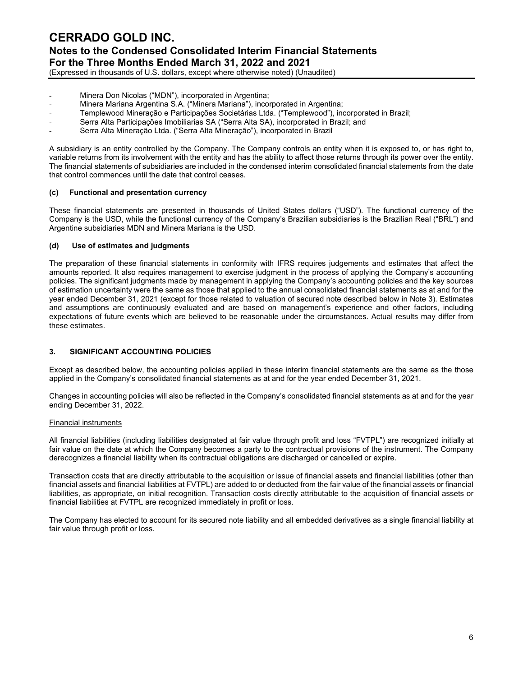(Expressed in thousands of U.S. dollars, except where otherwise noted) (Unaudited)

- *-* Minera Don Nicolas ("MDN"), incorporated in Argentina;
- *-* Minera Mariana Argentina S.A. ("Minera Mariana"), incorporated in Argentina;
- *-* Templewood Mineração e Participações Societárias Ltda. ("Templewood"), incorporated in Brazil;
- *-* Serra Alta Participações Imobiliarias SA ("Serra Alta SA), incorporated in Brazil; and
- *-* Serra Alta Mineração Ltda. ("Serra Alta Mineração"), incorporated in Brazil

A subsidiary is an entity controlled by the Company. The Company controls an entity when it is exposed to, or has right to, variable returns from its involvement with the entity and has the ability to affect those returns through its power over the entity. The financial statements of subsidiaries are included in the condensed interim consolidated financial statements from the date that control commences until the date that control ceases.

#### **(c) Functional and presentation currency**

These financial statements are presented in thousands of United States dollars ("USD"). The functional currency of the Company is the USD, while the functional currency of the Company's Brazilian subsidiaries is the Brazilian Real ("BRL") and Argentine subsidiaries MDN and Minera Mariana is the USD.

#### **(d) Use of estimates and judgments**

The preparation of these financial statements in conformity with IFRS requires judgements and estimates that affect the amounts reported. It also requires management to exercise judgment in the process of applying the Company's accounting policies. The significant judgments made by management in applying the Company's accounting policies and the key sources of estimation uncertainty were the same as those that applied to the annual consolidated financial statements as at and for the year ended December 31, 2021 (except for those related to valuation of secured note described below in Note 3). Estimates and assumptions are continuously evaluated and are based on management's experience and other factors, including expectations of future events which are believed to be reasonable under the circumstances. Actual results may differ from these estimates.

#### **3. SIGNIFICANT ACCOUNTING POLICIES**

Except as described below, the accounting policies applied in these interim financial statements are the same as the those applied in the Company's consolidated financial statements as at and for the year ended December 31, 2021.

Changes in accounting policies will also be reflected in the Company's consolidated financial statements as at and for the year ending December 31, 2022.

#### Financial instruments

All financial liabilities (including liabilities designated at fair value through profit and loss "FVTPL") are recognized initially at fair value on the date at which the Company becomes a party to the contractual provisions of the instrument. The Company derecognizes a financial liability when its contractual obligations are discharged or cancelled or expire.

Transaction costs that are directly attributable to the acquisition or issue of financial assets and financial liabilities (other than financial assets and financial liabilities at FVTPL) are added to or deducted from the fair value of the financial assets or financial liabilities, as appropriate, on initial recognition. Transaction costs directly attributable to the acquisition of financial assets or financial liabilities at FVTPL are recognized immediately in profit or loss.

The Company has elected to account for its secured note liability and all embedded derivatives as a single financial liability at fair value through profit or loss.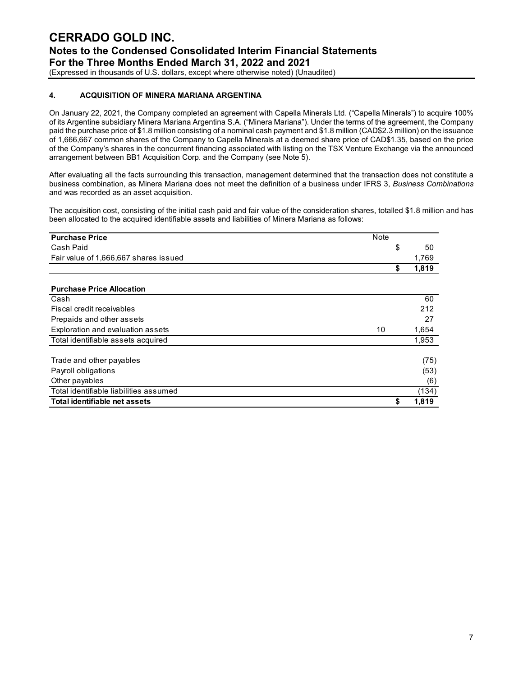#### (Expressed in thousands of U.S. dollars, except where otherwise noted) (Unaudited)

#### **4. ACQUISITION OF MINERA MARIANA ARGENTINA**

On January 22, 2021, the Company completed an agreement with Capella Minerals Ltd. ("Capella Minerals") to acquire 100% of its Argentine subsidiary Minera Mariana Argentina S.A. ("Minera Mariana"). Under the terms of the agreement, the Company paid the purchase price of \$1.8 million consisting of a nominal cash payment and \$1.8 million (CAD\$2.3 million) on the issuance of 1,666,667 common shares of the Company to Capella Minerals at a deemed share price of CAD\$1.35, based on the price of the Company's shares in the concurrent financing associated with listing on the TSX Venture Exchange via the announced arrangement between BB1 Acquisition Corp. and the Company (see Note 5).

After evaluating all the facts surrounding this transaction, management determined that the transaction does not constitute a business combination, as Minera Mariana does not meet the definition of a business under IFRS 3, *Business Combinations*  and was recorded as an asset acquisition.

The acquisition cost, consisting of the initial cash paid and fair value of the consideration shares, totalled \$1.8 million and has been allocated to the acquired identifiable assets and liabilities of Minera Mariana as follows:

| <b>Purchase Price</b><br>Note           |             |
|-----------------------------------------|-------------|
| Cash Paid                               | \$<br>50    |
| Fair value of 1,666,667 shares issued   | 1,769       |
|                                         | \$<br>1,819 |
|                                         |             |
| <b>Purchase Price Allocation</b>        |             |
| Cash                                    | 60          |
| Fiscal credit receivables               | 212         |
| Prepaids and other assets               | 27          |
| Exploration and evaluation assets<br>10 | 1,654       |
| Total identifiable assets acquired      | 1,953       |
| Trade and other payables                | (75)        |
| Payroll obligations                     | (53)        |
| Other payables                          | (6)         |
| Total identifiable liabilities assumed  | (134)       |
| Total identifiable net assets           | \$<br>1,819 |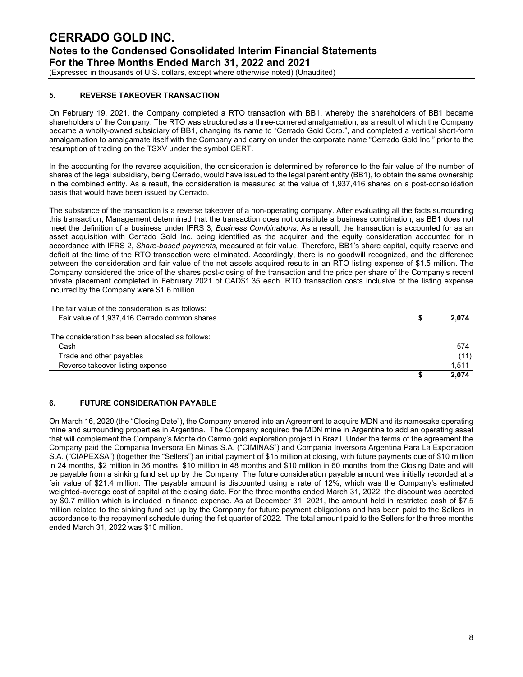#### (Expressed in thousands of U.S. dollars, except where otherwise noted) (Unaudited)

#### **5. REVERSE TAKEOVER TRANSACTION**

On February 19, 2021, the Company completed a RTO transaction with BB1, whereby the shareholders of BB1 became shareholders of the Company. The RTO was structured as a three-cornered amalgamation, as a result of which the Company became a wholly-owned subsidiary of BB1, changing its name to "Cerrado Gold Corp.", and completed a vertical short-form amalgamation to amalgamate itself with the Company and carry on under the corporate name "Cerrado Gold Inc." prior to the resumption of trading on the TSXV under the symbol CERT.

In the accounting for the reverse acquisition, the consideration is determined by reference to the fair value of the number of shares of the legal subsidiary, being Cerrado, would have issued to the legal parent entity (BB1), to obtain the same ownership in the combined entity. As a result, the consideration is measured at the value of 1,937,416 shares on a post-consolidation basis that would have been issued by Cerrado.

The substance of the transaction is a reverse takeover of a non-operating company. After evaluating all the facts surrounding this transaction, Management determined that the transaction does not constitute a business combination, as BB1 does not meet the definition of a business under IFRS 3, *Business Combinations*. As a result, the transaction is accounted for as an asset acquisition with Cerrado Gold Inc. being identified as the acquirer and the equity consideration accounted for in accordance with IFRS 2, *Share-based payments*, measured at fair value. Therefore, BB1's share capital, equity reserve and deficit at the time of the RTO transaction were eliminated. Accordingly, there is no goodwill recognized, and the difference between the consideration and fair value of the net assets acquired results in an RTO listing expense of \$1.5 million. The Company considered the price of the shares post-closing of the transaction and the price per share of the Company's recent private placement completed in February 2021 of CAD\$1.35 each. RTO transaction costs inclusive of the listing expense incurred by the Company were \$1.6 million.

|                                                    | 2.074 |
|----------------------------------------------------|-------|
| Reverse takeover listing expense                   | 1,511 |
| Trade and other payables                           | (11)  |
| Cash                                               | 574   |
| The consideration has been allocated as follows:   |       |
| Fair value of 1,937,416 Cerrado common shares      | 2,074 |
| The fair value of the consideration is as follows: |       |

#### **6. FUTURE CONSIDERATION PAYABLE**

On March 16, 2020 (the "Closing Date"), the Company entered into an Agreement to acquire MDN and its namesake operating mine and surrounding properties in Argentina. The Company acquired the MDN mine in Argentina to add an operating asset that will complement the Company's Monte do Carmo gold exploration project in Brazil. Under the terms of the agreement the Company paid the Compañia Inversora En Minas S.A. ("CIMINAS") and Compañia Inversora Argentina Para La Exportacion S.A. ("CIAPEXSA") (together the "Sellers") an initial payment of \$15 million at closing, with future payments due of \$10 million in 24 months, \$2 million in 36 months, \$10 million in 48 months and \$10 million in 60 months from the Closing Date and will be payable from a sinking fund set up by the Company. The future consideration payable amount was initially recorded at a fair value of \$21.4 million. The payable amount is discounted using a rate of 12%, which was the Company's estimated weighted-average cost of capital at the closing date. For the three months ended March 31, 2022, the discount was accreted by \$0.7 million which is included in finance expense. As at December 31, 2021, the amount held in restricted cash of \$7.5 million related to the sinking fund set up by the Company for future payment obligations and has been paid to the Sellers in accordance to the repayment schedule during the fist quarter of 2022. The total amount paid to the Sellers for the three months ended March 31, 2022 was \$10 million.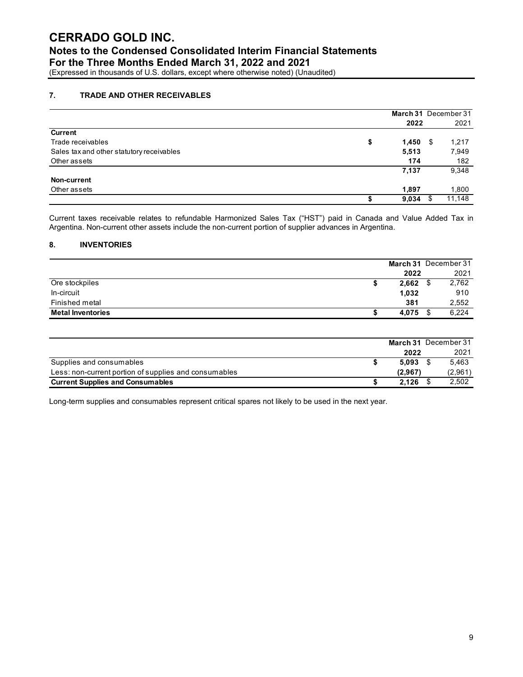### **CERRADO GOLD INC. Notes to the Condensed Consolidated Interim Financial Statements**

**For the Three Months Ended March 31, 2022 and 2021**

(Expressed in thousands of U.S. dollars, except where otherwise noted) (Unaudited)

#### **7. TRADE AND OTHER RECEIVABLES**

|                                           | March 31 December 31<br>2022 |   | 2021   |
|-------------------------------------------|------------------------------|---|--------|
| <b>Current</b>                            |                              |   |        |
| Trade receivables                         | \$<br>1,450                  | S | 1,217  |
| Sales tax and other statutory receivables | 5,513                        |   | 7,949  |
| Other assets                              | 174                          |   | 182    |
|                                           | 7,137                        |   | 9,348  |
| Non-current                               |                              |   |        |
| Other assets                              | 1,897                        |   | 1,800  |
|                                           | 9,034                        |   | 11.148 |

Current taxes receivable relates to refundable Harmonized Sales Tax ("HST") paid in Canada and Value Added Tax in Argentina. Non-current other assets include the non-current portion of supplier advances in Argentina.

#### **8. INVENTORIES**

|                          |       | March 31 December 31 |
|--------------------------|-------|----------------------|
|                          | 2022  | 2021                 |
| Ore stockpiles           | 2,662 | 2,762                |
| In-circuit               | 1,032 | 910                  |
| Finished metal           | 381   | 2,552                |
| <b>Metal Inventories</b> | 4,075 | 6,224                |

|                                                       |         | March 31 December 31 |
|-------------------------------------------------------|---------|----------------------|
|                                                       | 2022    | 2021                 |
| Supplies and consumables                              | 5.093   | 5.463                |
| Less: non-current portion of supplies and consumables | (2.967) | (2,961)              |
| <b>Current Supplies and Consumables</b>               | 2.126   | 2.502                |

Long-term supplies and consumables represent critical spares not likely to be used in the next year.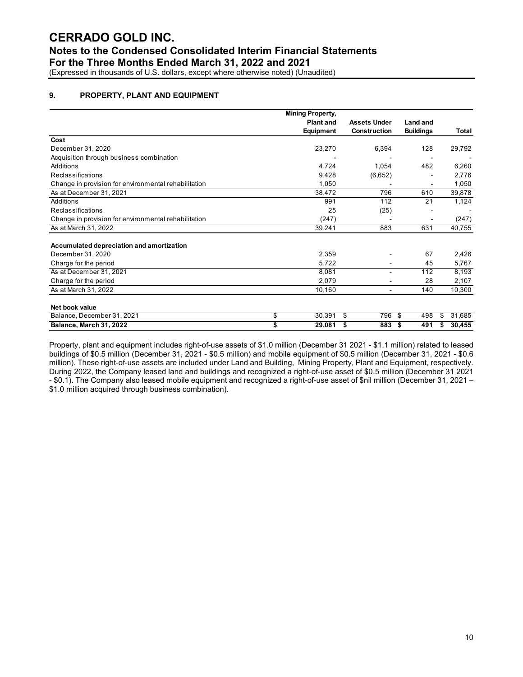## **Notes to the Condensed Consolidated Interim Financial Statements**

**For the Three Months Ended March 31, 2022 and 2021**

(Expressed in thousands of U.S. dollars, except where otherwise noted) (Unaudited)

#### **9. PROPERTY, PLANT AND EQUIPMENT**

|                                                      | <b>Mining Property,</b> |                     |                          |                  |    |        |
|------------------------------------------------------|-------------------------|---------------------|--------------------------|------------------|----|--------|
|                                                      | <b>Plant and</b>        | <b>Assets Under</b> |                          | Land and         |    |        |
|                                                      | <b>Equipment</b>        | <b>Construction</b> |                          | <b>Buildings</b> |    | Total  |
| Cost                                                 |                         |                     |                          |                  |    |        |
| December 31, 2020                                    | 23,270                  |                     | 6,394                    | 128              |    | 29,792 |
| Acquisition through business combination             |                         |                     |                          |                  |    |        |
| Additions                                            | 4,724                   |                     | 1,054                    | 482              |    | 6,260  |
| Reclassifications                                    | 9,428                   |                     | (6,652)                  |                  |    | 2,776  |
| Change in provision for environmental rehabilitation | 1,050                   |                     |                          |                  |    | 1,050  |
| As at December 31, 2021                              | 38,472                  |                     | 796                      | 610              |    | 39,878 |
| Additions                                            | 991                     |                     | 112                      | 21               |    | 1,124  |
| Reclassifications                                    | 25                      |                     | (25)                     |                  |    |        |
| Change in provision for environmental rehabilitation | (247)                   |                     |                          |                  |    | (247)  |
| As at March 31, 2022                                 | 39,241                  |                     | 883                      | 631              |    | 40,755 |
| Accumulated depreciation and amortization            |                         |                     |                          |                  |    |        |
| December 31, 2020                                    | 2,359                   |                     |                          | 67               |    | 2,426  |
| Charge for the period                                | 5,722                   |                     |                          | 45               |    | 5,767  |
| As at December 31, 2021                              | 8,081                   |                     | ۰                        | 112              |    | 8,193  |
| Charge for the period                                | 2,079                   |                     |                          | 28               |    | 2,107  |
| As at March 31, 2022                                 | 10,160                  |                     | $\overline{\phantom{a}}$ | 140              |    | 10,300 |
| Net book value                                       |                         |                     |                          |                  |    |        |
| Balance, December 31, 2021                           | \$<br>30,391            | \$                  | 796                      | -\$<br>498       | \$ | 31,685 |
| Balance, March 31, 2022                              | \$<br>29,081            | \$                  | 883                      | -\$<br>491       | S  | 30,455 |

Property, plant and equipment includes right-of-use assets of \$1.0 million (December 31 2021 - \$1.1 million) related to leased buildings of \$0.5 million (December 31, 2021 - \$0.5 million) and mobile equipment of \$0.5 million (December 31, 2021 - \$0.6 million). These right-of-use assets are included under Land and Building, Mining Property, Plant and Equipment, respectively. During 2022, the Company leased land and buildings and recognized a right-of-use asset of \$0.5 million (December 31 2021 - \$0.1). The Company also leased mobile equipment and recognized a right-of-use asset of \$nil million (December 31, 2021 – \$1.0 million acquired through business combination).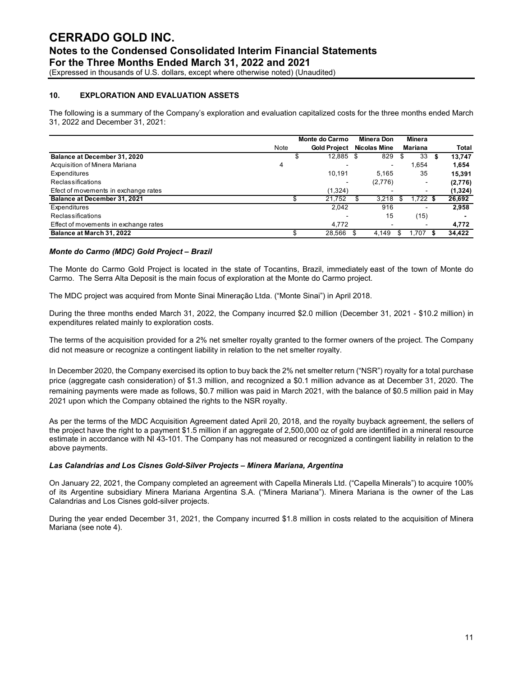(Expressed in thousands of U.S. dollars, except where otherwise noted) (Unaudited)

#### **10. EXPLORATION AND EVALUATION ASSETS**

The following is a summary of the Company's exploration and evaluation capitalized costs for the three months ended March 31, 2022 and December 31, 2021:

|                                       |      | Monte do Carmo           | Minera Don |                     | Minera |          |          |
|---------------------------------------|------|--------------------------|------------|---------------------|--------|----------|----------|
|                                       | Note | <b>Gold Project</b>      |            | <b>Nicolas Mine</b> |        | Mariana  | Total    |
| Balance at December 31, 2020          |      | \$<br>12,885             | \$         | 829                 |        | 33       | 13.747   |
| Acquisition of Minera Mariana         | 4    | $\overline{\phantom{0}}$ |            | $\blacksquare$      |        | 654. ا   | 1,654    |
| Expenditures                          |      | 10.191                   |            | 5.165               |        | 35       | 15.391   |
| Reclassifications                     |      | $\blacksquare$           |            | (2,776)             |        | ۰        | (2,776)  |
| Efect of movements in exchange rates  |      | (1,324)                  |            | ۰                   |        | ٠        | (1, 324) |
| Balance at December 31, 2021          |      | 21,752                   |            | 3,218               |        | 1,722 \$ | 26,692   |
| Expenditures                          |      | 2.042                    |            | 916                 |        |          | 2,958    |
| Reclassifications                     |      | $\overline{\phantom{a}}$ |            | 15                  |        | (15)     |          |
| Effect of movements in exchange rates |      | 4.772                    |            | $\sim$              |        | ٠        | 4,772    |
| Balance at March 31, 2022             |      | 28.566                   |            | 4.149               |        | 1.707    | 34,422   |

#### *Monte do Carmo (MDC) Gold Project – Brazil*

The Monte do Carmo Gold Project is located in the state of Tocantins, Brazil, immediately east of the town of Monte do Carmo. The Serra Alta Deposit is the main focus of exploration at the Monte do Carmo project.

The MDC project was acquired from Monte Sinai Mineração Ltda. ("Monte Sinai") in April 2018.

During the three months ended March 31, 2022, the Company incurred \$2.0 million (December 31, 2021 - \$10.2 million) in expenditures related mainly to exploration costs.

The terms of the acquisition provided for a 2% net smelter royalty granted to the former owners of the project. The Company did not measure or recognize a contingent liability in relation to the net smelter royalty.

In December 2020, the Company exercised its option to buy back the 2% net smelter return ("NSR") royalty for a total purchase price (aggregate cash consideration) of \$1.3 million, and recognized a \$0.1 million advance as at December 31, 2020. The remaining payments were made as follows, \$0.7 million was paid in March 2021, with the balance of \$0.5 million paid in May 2021 upon which the Company obtained the rights to the NSR royalty.

As per the terms of the MDC Acquisition Agreement dated April 20, 2018, and the royalty buyback agreement, the sellers of the project have the right to a payment \$1.5 million if an aggregate of 2,500,000 oz of gold are identified in a mineral resource estimate in accordance with NI 43-101. The Company has not measured or recognized a contingent liability in relation to the above payments.

#### *Las Calandrias and Los Cisnes Gold-Silver Projects – Minera Mariana, Argentina*

On January 22, 2021, the Company completed an agreement with Capella Minerals Ltd. ("Capella Minerals") to acquire 100% of its Argentine subsidiary Minera Mariana Argentina S.A. ("Minera Mariana"). Minera Mariana is the owner of the Las Calandrias and Los Cisnes gold-silver projects.

During the year ended December 31, 2021, the Company incurred \$1.8 million in costs related to the acquisition of Minera Mariana (see note 4).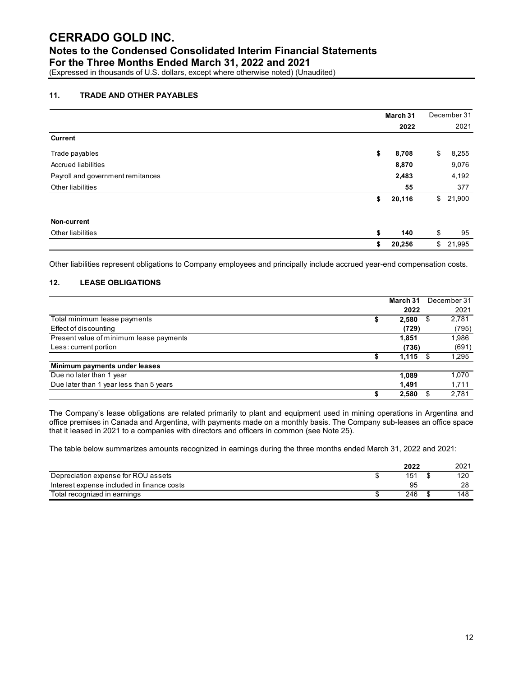## **Notes to the Condensed Consolidated Interim Financial Statements**

**For the Three Months Ended March 31, 2022 and 2021**

(Expressed in thousands of U.S. dollars, except where otherwise noted) (Unaudited)

#### **11. TRADE AND OTHER PAYABLES**

|                                   | March 31     |    | December 31 |
|-----------------------------------|--------------|----|-------------|
|                                   | 2022         |    | 2021        |
| <b>Current</b>                    |              |    |             |
| Trade payables                    | \$<br>8,708  | \$ | 8,255       |
| <b>Accrued liabilities</b>        | 8,870        |    | 9,076       |
| Payroll and government remitances | 2,483        |    | 4,192       |
| Other liabilities                 |              | 55 | 377         |
|                                   | \$<br>20,116 | \$ | 21,900      |
| Non-current                       |              |    |             |
| Other liabilities                 | \$<br>140    | \$ | 95          |
|                                   | \$<br>20,256 | \$ | 21,995      |

Other liabilities represent obligations to Company employees and principally include accrued year-end compensation costs.

#### **12. LEASE OBLIGATIONS**

|                                         | March 31 | December 31 |  |
|-----------------------------------------|----------|-------------|--|
|                                         | 2022     | 2021        |  |
| Total minimum lease payments            | 2,580    | 2,781       |  |
| Effect of discounting                   | (729)    | (795)       |  |
| Present value of minimum lease payments | 1.851    | 1,986       |  |
| Less: current portion                   | (736)    | (691)       |  |
|                                         | 1,115    | 1,295       |  |
| Minimum payments under leases           |          |             |  |
| Due no later than 1 year                | 1.089    | 1,070       |  |
| Due later than 1 year less than 5 years | 1,491    | 1,711       |  |
|                                         | 2,580    | 2,781       |  |

The Company's lease obligations are related primarily to plant and equipment used in mining operations in Argentina and office premises in Canada and Argentina, with payments made on a monthly basis. The Company sub-leases an office space that it leased in 2021 to a companies with directors and officers in common (see Note 25).

The table below summarizes amounts recognized in earnings during the three months ended March 31, 2022 and 2021:

|                                            | 2022 | 2021 |
|--------------------------------------------|------|------|
| Depreciation expense for ROU assets        | 151  | 120  |
| Interest expense included in finance costs | 95   | 28   |
| Total recognized in earnings               | 246  | 148  |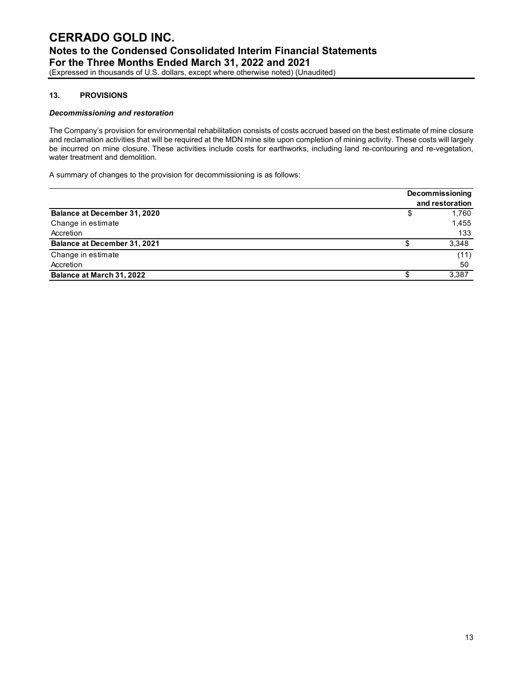#### **13. PROVISIONS**

#### *Decommissioning and restoration*

The Company's provision for environmental rehabilitation consists of costs accrued based on the best estimate of mine closure and reclamation activities that will be required at the MDN mine site upon completion of mining activity. These costs will largely be incurred on mine closure. These activities include costs for earthworks, including land re-contouring and re-vegetation, water treatment and demolition.

A summary of changes to the provision for decommissioning is as follows:

|                                     | <b>Decommissioning</b> |                 |  |  |
|-------------------------------------|------------------------|-----------------|--|--|
|                                     |                        | and restoration |  |  |
| Balance at December 31, 2020        |                        | 1.760           |  |  |
| Change in estimate                  |                        | 1,455           |  |  |
| Accretion                           |                        | 133             |  |  |
| <b>Balance at December 31, 2021</b> |                        | 3.348           |  |  |
| Change in estimate                  |                        | (11)            |  |  |
| Accretion                           |                        | 50              |  |  |
| Balance at March 31, 2022           |                        | 3,387           |  |  |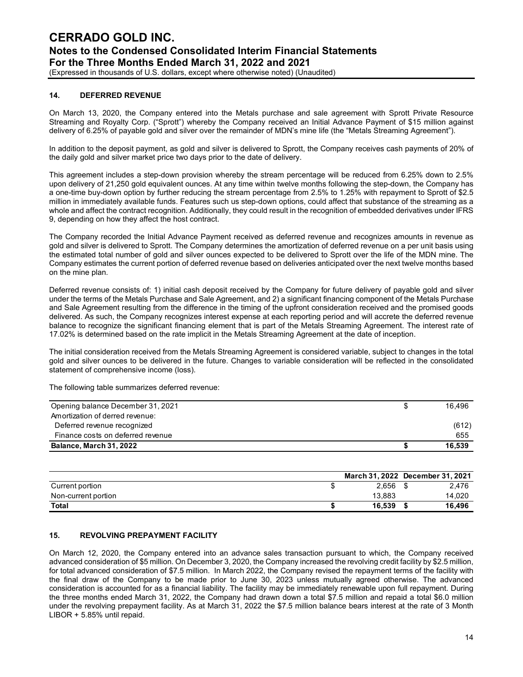(Expressed in thousands of U.S. dollars, except where otherwise noted) (Unaudited)

#### **14. DEFERRED REVENUE**

On March 13, 2020, the Company entered into the Metals purchase and sale agreement with Sprott Private Resource Streaming and Royalty Corp. ("Sprott") whereby the Company received an Initial Advance Payment of \$15 million against delivery of 6.25% of payable gold and silver over the remainder of MDN's mine life (the "Metals Streaming Agreement").

In addition to the deposit payment, as gold and silver is delivered to Sprott, the Company receives cash payments of 20% of the daily gold and silver market price two days prior to the date of delivery.

This agreement includes a step-down provision whereby the stream percentage will be reduced from 6.25% down to 2.5% upon delivery of 21,250 gold equivalent ounces. At any time within twelve months following the step-down, the Company has a one-time buy-down option by further reducing the stream percentage from 2.5% to 1.25% with repayment to Sprott of \$2.5 million in immediately available funds. Features such us step-down options, could affect that substance of the streaming as a whole and affect the contract recognition. Additionally, they could result in the recognition of embedded derivatives under IFRS 9, depending on how they affect the host contract.

The Company recorded the Initial Advance Payment received as deferred revenue and recognizes amounts in revenue as gold and silver is delivered to Sprott. The Company determines the amortization of deferred revenue on a per unit basis using the estimated total number of gold and silver ounces expected to be delivered to Sprott over the life of the MDN mine. The Company estimates the current portion of deferred revenue based on deliveries anticipated over the next twelve months based on the mine plan.

Deferred revenue consists of: 1) initial cash deposit received by the Company for future delivery of payable gold and silver under the terms of the Metals Purchase and Sale Agreement, and 2) a significant financing component of the Metals Purchase and Sale Agreement resulting from the difference in the timing of the upfront consideration received and the promised goods delivered. As such, the Company recognizes interest expense at each reporting period and will accrete the deferred revenue balance to recognize the significant financing element that is part of the Metals Streaming Agreement. The interest rate of 17.02% is determined based on the rate implicit in the Metals Streaming Agreement at the date of inception.

The initial consideration received from the Metals Streaming Agreement is considered variable, subject to changes in the total gold and silver ounces to be delivered in the future. Changes to variable consideration will be reflected in the consolidated statement of comprehensive income (loss).

The following table summarizes deferred revenue:

| Opening balance December 31, 2021 | 16.496 |
|-----------------------------------|--------|
| Amortization of derred revenue:   |        |
| Deferred revenue recognized       | (612)  |
| Finance costs on deferred revenue | 655    |
| <b>Balance, March 31, 2022</b>    | 16.539 |

|                     |        | March 31, 2022 December 31, 2021 |
|---------------------|--------|----------------------------------|
| Current portion     | 2.656  | 2.476                            |
| Non-current portion | 13.883 | 14,020                           |
| <b>Total</b>        | 16.539 | 16.496                           |

#### **15. REVOLVING PREPAYMENT FACILITY**

On March 12, 2020, the Company entered into an advance sales transaction pursuant to which, the Company received advanced consideration of \$5 million. On December 3, 2020, the Company increased the revolving credit facility by \$2.5 million, for total advanced consideration of \$7.5 million. In March 2022, the Company revised the repayment terms of the facility with the final draw of the Company to be made prior to June 30, 2023 unless mutually agreed otherwise. The advanced consideration is accounted for as a financial liability. The facility may be immediately renewable upon full repayment. During the three months ended March 31, 2022, the Company had drawn down a total \$7.5 million and repaid a total \$6.0 million under the revolving prepayment facility. As at March 31, 2022 the \$7.5 million balance bears interest at the rate of 3 Month LIBOR + 5.85% until repaid.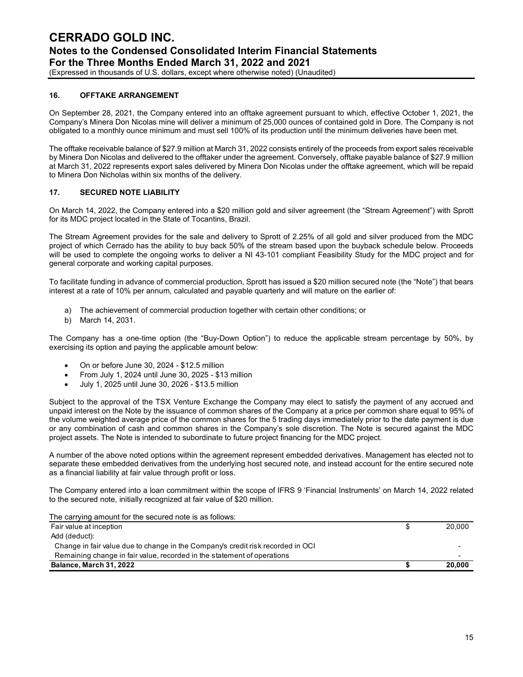(Expressed in thousands of U.S. dollars, except where otherwise noted) (Unaudited)

#### **16. OFFTAKE ARRANGEMENT**

On September 28, 2021, the Company entered into an offtake agreement pursuant to which, effective October 1, 2021, the Company's Minera Don Nicolas mine will deliver a minimum of 25,000 ounces of contained gold in Dore. The Company is not obligated to a monthly ounce minimum and must sell 100% of its production until the minimum deliveries have been met.

The offtake receivable balance of \$27.9 million at March 31, 2022 consists entirely of the proceeds from export sales receivable by Minera Don Nicolas and delivered to the offtaker under the agreement. Conversely, offtake payable balance of \$27.9 million at March 31, 2022 represents export sales delivered by Minera Don Nicolas under the offtake agreement, which will be repaid to Minera Don Nicholas within six months of the delivery.

#### **17. SECURED NOTE LIABILITY**

On March 14, 2022, the Company entered into a \$20 million gold and silver agreement (the "Stream Agreement") with Sprott for its MDC project located in the State of Tocantins, Brazil.

The Stream Agreement provides for the sale and delivery to Sprott of 2.25% of all gold and silver produced from the MDC project of which Cerrado has the ability to buy back 50% of the stream based upon the buyback schedule below. Proceeds will be used to complete the ongoing works to deliver a NI 43-101 compliant Feasibility Study for the MDC project and for general corporate and working capital purposes.

To facilitate funding in advance of commercial production, Sprott has issued a \$20 million secured note (the "Note") that bears interest at a rate of 10% per annum, calculated and payable quarterly and will mature on the earlier of:

- a) The achievement of commercial production together with certain other conditions; or
- b) March 14, 2031.

The Company has a one-time option (the "Buy-Down Option") to reduce the applicable stream percentage by 50%, by exercising its option and paying the applicable amount below:

- On or before June 30, 2024 \$12.5 million
- From July 1, 2024 until June 30, 2025 \$13 million
- July 1, 2025 until June 30, 2026 \$13.5 million

Subject to the approval of the TSX Venture Exchange the Company may elect to satisfy the payment of any accrued and unpaid interest on the Note by the issuance of common shares of the Company at a price per common share equal to 95% of the volume weighted average price of the common shares for the 5 trading days immediately prior to the date payment is due or any combination of cash and common shares in the Company's sole discretion. The Note is secured against the MDC project assets. The Note is intended to subordinate to future project financing for the MDC project.

A number of the above noted options within the agreement represent embedded derivatives. Management has elected not to separate these embedded derivatives from the underlying host secured note, and instead account for the entire secured note as a financial liability at fair value through profit or loss.

The Company entered into a loan commitment within the scope of IFRS 9 'Financial Instruments' on March 14, 2022 related to the secured note, initially recognized at fair value of \$20 million.

The carrying amount for the secured note is as follows:

| The carrying amount for the cocared note to do follower.                        |        |
|---------------------------------------------------------------------------------|--------|
| Fair value at inception                                                         | 20,000 |
| Add (deduct):                                                                   |        |
| Change in fair value due to change in the Company's credit risk recorded in OCI |        |
| Remaining change in fair value, recorded in the statement of operations         | -      |
| Balance, March 31, 2022                                                         | 20,000 |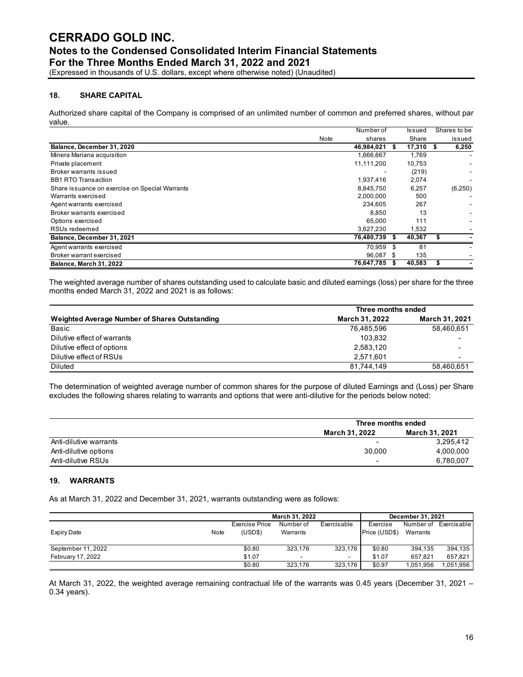(Expressed in thousands of U.S. dollars, except where otherwise noted) (Unaudited)

#### **18. SHARE CAPITAL**

Authorized share capital of the Company is comprised of an unlimited number of common and preferred shares, without par value.

|                                                |      | Number of     | <b>Issued</b> | Shares to be |
|------------------------------------------------|------|---------------|---------------|--------------|
|                                                | Note | shares        | Share         | issued       |
| Balance, December 31, 2020                     |      | 46,984,021    | 17,310        | 6,250        |
| Minera Mariana acquisition                     |      | 1,666,667     | 1,769         |              |
| Private placement                              |      | 11,111,200    | 10,753        |              |
| Broker warrants issued                         |      |               | (219)         |              |
| <b>BB1 RTO Transaction</b>                     |      | 1,937,416     | 2,074         |              |
| Share issuance on exercise on Special Warrants |      | 8,845,750     | 6,257         | (6,250)      |
| Warrants exercised                             |      | 2,000,000     | 500           |              |
| Agent warrants exercised                       |      | 234.605       | 267           |              |
| Broker warrants exercised                      |      | 8.850         | 13            |              |
| Options exercised                              |      | 65.000        | 111           |              |
| RSUs redeemed                                  |      | 3,627,230     | 1,532         |              |
| Balance, December 31, 2021                     |      | 76,480,739 \$ | 40,367        |              |
| Agent warrants exercised                       |      | 70.959 \$     | 81            |              |
| Broker warrant exercised                       |      | 96,087 \$     | 135           |              |
| Balance, March 31, 2022                        |      | 76,647,785 \$ | 40,583        |              |

The weighted average number of shares outstanding used to calculate basic and diluted earnings (loss) per share for the three months ended March 31, 2022 and 2021 is as follows:

|                                               | Three months ended |                       |  |  |  |
|-----------------------------------------------|--------------------|-----------------------|--|--|--|
| Weighted Average Number of Shares Outstanding | March 31, 2022     | <b>March 31, 2021</b> |  |  |  |
| Basic                                         | 76,485,596         | 58,460,651            |  |  |  |
| Dilutive effect of warrants                   | 103.832            | -                     |  |  |  |
| Dilutive effect of options                    | 2,583,120          |                       |  |  |  |
| Dilutive effect of RSUs                       | 2,571,601          | -                     |  |  |  |
| <b>Diluted</b>                                | 81,744,149         | 58,460,651            |  |  |  |

The determination of weighted average number of common shares for the purpose of diluted Earnings and (Loss) per Share excludes the following shares relating to warrants and options that were anti-dilutive for the periods below noted:

|                        | Three months ended               |           |  |  |  |
|------------------------|----------------------------------|-----------|--|--|--|
|                        | March 31, 2021<br>March 31, 2022 |           |  |  |  |
| Anti-dilutive warrants | -                                | 3.295.412 |  |  |  |
| Anti-dilutive options  | 30.000                           | 4,000,000 |  |  |  |
| Anti-dilutive RSUs     | -                                | 6.780.007 |  |  |  |

#### **19. WARRANTS**

As at March 31, 2022 and December 31, 2021, warrants outstanding were as follows:

|                    |      |                           | March 31, 2022           |             | December 31, 2021         |                       |             |
|--------------------|------|---------------------------|--------------------------|-------------|---------------------------|-----------------------|-------------|
| <b>Expiry Date</b> | Note | Exercise Price<br>(USD\$) | Number of<br>Warrants    | Exercisable | Exercise<br>Price (USD\$) | Number of<br>Warrants | Exercisable |
| September 11, 2022 |      | \$0.80                    | 323.176                  | 323.176     | \$0.80                    | 394.135               | 394.135     |
| February 17, 2022  |      | \$1.07                    | $\overline{\phantom{0}}$ | -           | \$1.07                    | 657.821               | 657.821     |
|                    |      | \$0.80                    | 323,176                  | 323,176     | \$0.97                    | 1,051,956             | .051,956    |

At March 31, 2022, the weighted average remaining contractual life of the warrants was 0.45 years (December 31, 2021 – 0.34 years).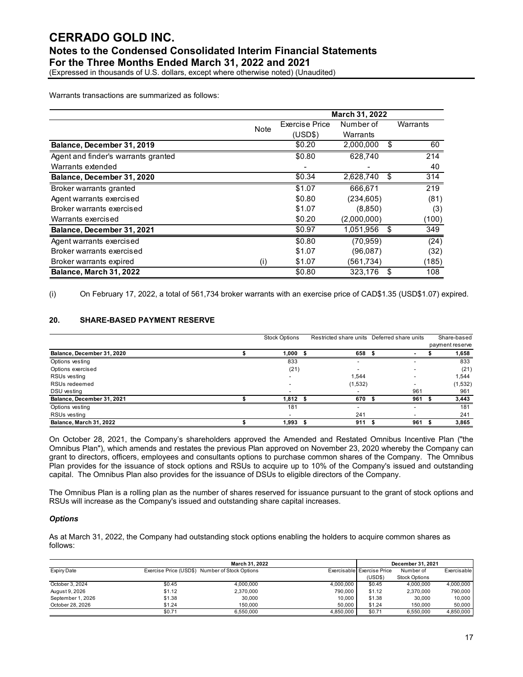(Expressed in thousands of U.S. dollars, except where otherwise noted) (Unaudited)

Warrants transactions are summarized as follows:

|                                     |      | <b>March 31, 2022</b>    |                          |    |          |  |
|-------------------------------------|------|--------------------------|--------------------------|----|----------|--|
|                                     | Note | <b>Exercise Price</b>    | Number of                |    | Warrants |  |
|                                     |      | (USD\$)                  | Warrants                 |    |          |  |
| Balance, December 31, 2019          |      | \$0.20                   | 2,000,000                | \$ | 60       |  |
| Agent and finder's warrants granted |      | \$0.80                   | 628,740                  |    | 214      |  |
| Warrants extended                   |      | $\overline{\phantom{a}}$ | $\overline{\phantom{a}}$ |    | 40       |  |
| Balance, December 31, 2020          |      | \$0.34                   | 2,628,740                | \$ | 314      |  |
| <b>Broker warrants granted</b>      |      | \$1.07                   | 666,671                  |    | 219      |  |
| Agent warrants exercised            |      | \$0.80                   | (234, 605)               |    | (81)     |  |
| Broker warrants exercised           |      | \$1.07                   | (8,850)                  |    | (3)      |  |
| Warrants exercised                  |      | \$0.20                   | (2,000,000)              |    | (100)    |  |
| Balance, December 31, 2021          |      | \$0.97                   | 1,051,956                | \$ | 349      |  |
| Agent warrants exercised            |      | \$0.80                   | (70, 959)                |    | (24)     |  |
| Broker warrants exercised           |      | \$1.07                   | (96,087)                 |    | (32)     |  |
| Broker warrants expired             | (i)  | \$1.07                   | (561,734)                |    | (185)    |  |
| Balance, March 31, 2022             |      | \$0.80                   | 323.176                  | \$ | 108      |  |

(i) On February 17, 2022, a total of 561,734 broker warrants with an exercise price of CAD\$1.35 (USD\$1.07) expired.

#### **20. SHARE-BASED PAYMENT RESERVE**

|                            | Restricted share units Deferred share units<br><b>Stock Options</b> |  |                          | Share-based |                 |
|----------------------------|---------------------------------------------------------------------|--|--------------------------|-------------|-----------------|
|                            |                                                                     |  |                          |             | payment reserve |
| Balance, December 31, 2020 | 1,000                                                               |  | 658                      |             | 1,658           |
| Options vesting            | 833                                                                 |  | $\overline{\phantom{0}}$ |             | 833             |
| Options exercised          | (21)                                                                |  |                          |             | (21)            |
| RSUs vesting               |                                                                     |  | 1,544                    |             | 1,544           |
| RSUs redeemed              |                                                                     |  | (1,532)                  |             | (1, 532)        |
| DSU vesting                |                                                                     |  |                          | 961         | 961             |
| Balance, December 31, 2021 | 1,812                                                               |  | 670                      | 961         | 3,443           |
| Options vesting            | 181                                                                 |  |                          | -           | 181             |
| RSUs vesting               |                                                                     |  | 241                      |             | 241             |
| Balance, March 31, 2022    | 1,993                                                               |  | 911                      | 961         | 3,865           |

On October 28, 2021, the Company's shareholders approved the Amended and Restated Omnibus Incentive Plan ("the Omnibus Plan"), which amends and restates the previous Plan approved on November 23, 2020 whereby the Company can grant to directors, officers, employees and consultants options to purchase common shares of the Company. The Omnibus Plan provides for the issuance of stock options and RSUs to acquire up to 10% of the Company's issued and outstanding capital. The Omnibus Plan also provides for the issuance of DSUs to eligible directors of the Company.

The Omnibus Plan is a rolling plan as the number of shares reserved for issuance pursuant to the grant of stock options and RSUs will increase as the Company's issued and outstanding share capital increases.

#### *Options*

As at March 31, 2022, the Company had outstanding stock options enabling the holders to acquire common shares as follows:

|                    |                                                | December 31, 2021 |           |                            |                      |             |
|--------------------|------------------------------------------------|-------------------|-----------|----------------------------|----------------------|-------------|
| <b>Expiry Date</b> | Exercise Price (USD\$) Number of Stock Options |                   |           | Exercisable Exercise Price | Number of            | Exercisable |
|                    |                                                |                   |           | (USDS)                     | <b>Stock Options</b> |             |
| October 3, 2024    | \$0.45                                         | 4.000.000         | 4.000.000 | \$0.45                     | 4.000.000            | 4,000,000   |
| August 9, 2026     | \$1.12                                         | 2,370,000         | 790,000   | \$1.12                     | 2.370.000            | 790,000     |
| September 1, 2026  | \$1.38                                         | 30,000            | 10.000    | \$1.38                     | 30,000               | 10,000      |
| October 28, 2026   | \$1.24                                         | 150,000           | 50.000    | \$1.24                     | 150,000              | 50,000      |
|                    | \$0.71                                         | 6.550.000         | 4.850.000 | \$0.71                     | 6.550.000            | 4.850.000   |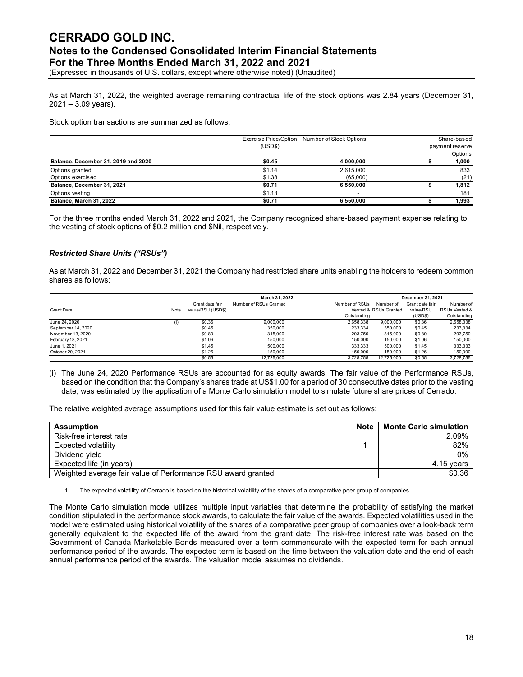(Expressed in thousands of U.S. dollars, except where otherwise noted) (Unaudited)

As at March 31, 2022, the weighted average remaining contractual life of the stock options was 2.84 years (December 31, 2021 – 3.09 years).

Stock option transactions are summarized as follows:

|                                     | Exercise Price/Option | Number of Stock Options  | Share-based     |
|-------------------------------------|-----------------------|--------------------------|-----------------|
|                                     | (USD\$)               |                          | payment reserve |
|                                     |                       |                          | Options         |
| Balance, December 31, 2019 and 2020 | \$0.45                | 4.000.000                | 1,000           |
| Options granted                     | \$1.14                | 2,615,000                | 833             |
| Options exercised                   | \$1.38                | (65.000)                 | (21)            |
| Balance, December 31, 2021          | \$0.71                | 6.550.000                | 1,812           |
| Options vesting                     | \$1.13                | $\overline{\phantom{0}}$ | 181             |
| Balance, March 31, 2022             | \$0.71                | 6.550.000                | 1,993           |

For the three months ended March 31, 2022 and 2021, the Company recognized share-based payment expense relating to the vesting of stock options of \$0.2 million and \$Nil, respectively.

#### *Restricted Share Units ("RSUs")*

As at March 31, 2022 and December 31, 2021 the Company had restricted share units enabling the holders to redeem common shares as follows:

|                    |                   |                   | March 31, 2022         |                |                       | December 31, 2021 |               |
|--------------------|-------------------|-------------------|------------------------|----------------|-----------------------|-------------------|---------------|
|                    |                   | Grant date fair   | Number of RSUs Granted | Number of RSUs | Number of             | Grant date fair   | Number of     |
| <b>Grant Date</b>  | Note              | value/RSU (USD\$) |                        |                | Vested & RSUs Granted | value/RSU         | RSUs Vested & |
|                    |                   |                   |                        | Outstanding    |                       | (USDS)            | Outstanding   |
| June 24, 2020      | $\left( 1\right)$ | \$0.36            | 9,000,000              | 2,658,338      | 9.000.000             | \$0.36            | 2,658,338     |
| September 14, 2020 |                   | \$0.45            | 350,000                | 233.334        | 350,000               | \$0.45            | 233,334       |
| November 13, 2020  |                   | \$0.80            | 315,000                | 203.750        | 315,000               | \$0.80            | 203,750       |
| February 18, 2021  |                   | \$1.06            | 150,000                | 150,000        | 150,000               | \$1.06            | 150,000       |
| June 1, 2021       |                   | \$1.45            | 500.000                | 333.333        | 500,000               | \$1.45            | 333,333       |
| October 20, 2021   |                   | \$1.26            | 150,000                | 150,000        | 150,000               | \$1.26            | 150,000       |
|                    |                   | \$0.55            | 12.725.000             | 3.728.755      | 12.725.000            | \$0.55            | 3,728,755     |

(i) The June 24, 2020 Performance RSUs are accounted for as equity awards. The fair value of the Performance RSUs, based on the condition that the Company's shares trade at US\$1.00 for a period of 30 consecutive dates prior to the vesting date, was estimated by the application of a Monte Carlo simulation model to simulate future share prices of Cerrado.

The relative weighted average assumptions used for this fair value estimate is set out as follows:

| <b>Assumption</b>                                            | <b>Note</b> | <b>Monte Carlo simulation</b> |
|--------------------------------------------------------------|-------------|-------------------------------|
| Risk-free interest rate                                      |             | 2.09%                         |
| <b>Expected volatility</b>                                   |             | 82%                           |
| Dividend vield                                               |             | 0%                            |
| Expected life (in years)                                     |             | 4.15 years                    |
| Weighted average fair value of Performance RSU award granted |             | \$0.36                        |

1. The expected volatility of Cerrado is based on the historical volatility of the shares of a comparative peer group of companies.

The Monte Carlo simulation model utilizes multiple input variables that determine the probability of satisfying the market condition stipulated in the performance stock awards, to calculate the fair value of the awards. Expected volatilities used in the model were estimated using historical volatility of the shares of a comparative peer group of companies over a look-back term generally equivalent to the expected life of the award from the grant date. The risk-free interest rate was based on the Government of Canada Marketable Bonds measured over a term commensurate with the expected term for each annual performance period of the awards. The expected term is based on the time between the valuation date and the end of each annual performance period of the awards. The valuation model assumes no dividends.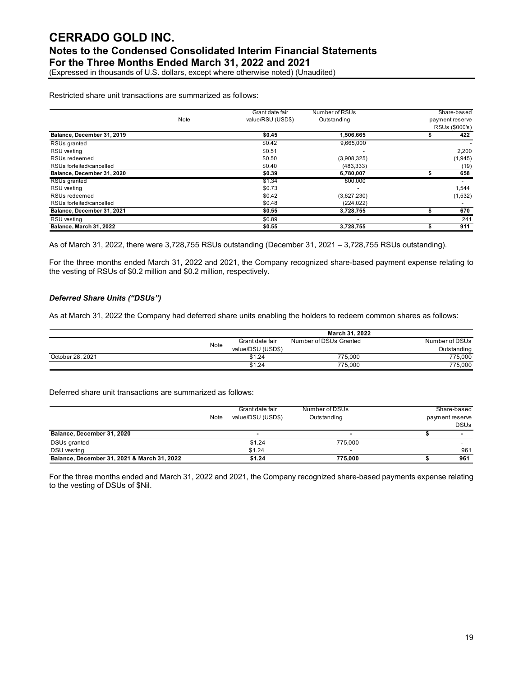(Expressed in thousands of U.S. dollars, except where otherwise noted) (Unaudited)

Restricted share unit transactions are summarized as follows:

|                            |      | Grant date fair   | Number of RSUs | Share-based     |
|----------------------------|------|-------------------|----------------|-----------------|
|                            | Note | value/RSU (USD\$) | Outstanding    | payment reserve |
|                            |      |                   |                | RSUs (\$000's)  |
| Balance, December 31, 2019 |      | \$0.45            | 1,506,665      | 422             |
| RSUs granted               |      | \$0.42            | 9,665,000      |                 |
| RSU vesting                |      | \$0.51            |                | 2,200           |
| RSUs redeemed              |      | \$0.50            | (3,908,325)    | (1, 945)        |
| RSUs forfeited/cancelled   |      | \$0.40            | (483, 333)     | (19)            |
| Balance, December 31, 2020 |      | \$0.39            | 6,780,007      | 658             |
| RSUs granted               |      | \$1.34            | 800,000        |                 |
| RSU vesting                |      | \$0.73            |                | 1,544           |
| RSUs redeemed              |      | \$0.42            | (3,627,230)    | (1,532)         |
| RSUs forfeited/cancelled   |      | \$0.48            | (224, 022)     |                 |
| Balance, December 31, 2021 |      | \$0.55            | 3,728,755      | 670             |
| RSU vesting                |      | \$0.89            |                | 241             |
| Balance, March 31, 2022    |      | \$0.55            | 3,728,755      | 911             |

As of March 31, 2022, there were 3,728,755 RSUs outstanding (December 31, 2021 – 3,728,755 RSUs outstanding).

For the three months ended March 31, 2022 and 2021, the Company recognized share-based payment expense relating to the vesting of RSUs of \$0.2 million and \$0.2 million, respectively.

#### *Deferred Share Units ("DSUs")*

As at March 31, 2022 the Company had deferred share units enabling the holders to redeem common shares as follows:

|                  |      |                   | March 31, 2022         |                |
|------------------|------|-------------------|------------------------|----------------|
|                  | Note | Grant date fair   | Number of DSUs Granted | Number of DSUs |
|                  |      | value/DSU (USD\$) |                        | Outstanding    |
| October 28, 2021 |      | \$1.24            | 775.000                | 775.000        |
|                  |      | \$1.24            | 775.000                | 775.000        |

Deferred share unit transactions are summarized as follows:

|                                             | Grant date fair<br>value/DSU (USD\$)<br>Note |        | Number of DSUs<br>Outstanding | Share-based<br>payment reserve<br><b>DSUs</b> |
|---------------------------------------------|----------------------------------------------|--------|-------------------------------|-----------------------------------------------|
| Balance, December 31, 2020                  |                                              |        |                               |                                               |
| DSUs granted                                |                                              | \$1.24 | 775.000                       |                                               |
| DSU vesting                                 |                                              | \$1.24 |                               | 961                                           |
| Balance, December 31, 2021 & March 31, 2022 |                                              | \$1.24 | 775.000                       | 961                                           |

For the three months ended and March 31, 2022 and 2021, the Company recognized share-based payments expense relating to the vesting of DSUs of \$Nil.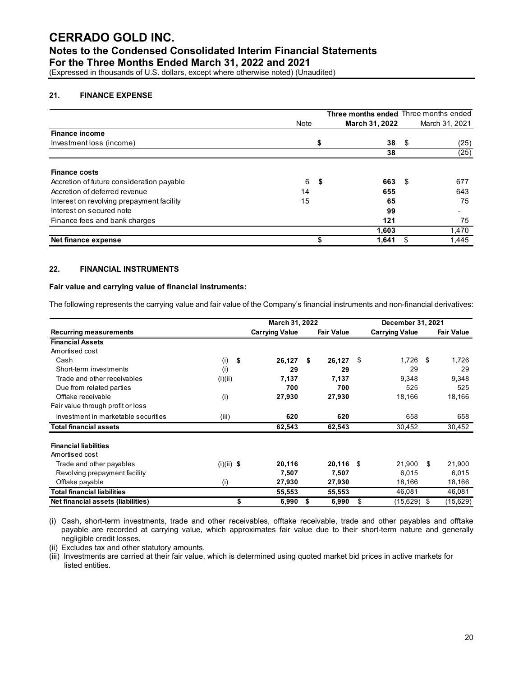(Expressed in thousands of U.S. dollars, except where otherwise noted) (Unaudited)

#### **21. FINANCE EXPENSE**

|                                           |      |    | Three months ended Three months ended |      |                |
|-------------------------------------------|------|----|---------------------------------------|------|----------------|
|                                           | Note |    | <b>March 31, 2022</b>                 |      | March 31, 2021 |
| <b>Finance income</b>                     |      |    |                                       |      |                |
| Investment loss (income)                  |      |    | 38                                    | - \$ | (25)           |
|                                           |      |    | 38                                    |      | (25)           |
| <b>Finance costs</b>                      |      |    |                                       |      |                |
| Accretion of future consideration payable | 6    | \$ | 663                                   | - \$ | 677            |
| Accretion of deferred revenue             | 14   |    | 655                                   |      | 643            |
| Interest on revolving prepayment facility | 15   |    | 65                                    |      | 75             |
| Interest on secured note                  |      |    | 99                                    |      |                |
| Finance fees and bank charges             |      |    | 121                                   |      | 75             |
|                                           |      |    | 1,603                                 |      | 1,470          |
| Net finance expense                       |      | S  | 1,641                                 |      | 1,445          |

#### **22. FINANCIAL INSTRUMENTS**

#### **Fair value and carrying value of financial instruments:**

The following represents the carrying value and fair value of the Company's financial instruments and non-financial derivatives:

|                                     |              | March 31, 2022        |                   |      | December 31, 2021     |      |                   |
|-------------------------------------|--------------|-----------------------|-------------------|------|-----------------------|------|-------------------|
| <b>Recurring measurements</b>       |              | <b>Carrying Value</b> | <b>Fair Value</b> |      | <b>Carrying Value</b> |      | <b>Fair Value</b> |
| <b>Financial Assets</b>             |              |                       |                   |      |                       |      |                   |
| Amortised cost                      |              |                       |                   |      |                       |      |                   |
| Cash                                | \$<br>(i)    | 26,127                | 26,127<br>- \$    | - \$ | 1,726                 | - \$ | 1,726             |
| Short-term investments              | (i)          | 29                    | 29                |      | 29                    |      | 29                |
| Trade and other receivables         | (i)(ii)      | 7,137                 | 7,137             |      | 9,348                 |      | 9,348             |
| Due from related parties            |              | 700                   | 700               |      | 525                   |      | 525               |
| Offtake receivable                  | (i)          | 27,930                | 27,930            |      | 18,166                |      | 18,166            |
| Fair value through profit or loss   |              |                       |                   |      |                       |      |                   |
| Investment in marketable securities | (iii)        | 620                   | 620               |      | 658                   |      | 658               |
| <b>Total financial assets</b>       |              | 62,543                | 62,543            |      | 30,452                |      | 30,452            |
| <b>Financial liabilities</b>        |              |                       |                   |      |                       |      |                   |
| Amortised cost                      |              |                       |                   |      |                       |      |                   |
| Trade and other payables            | $(i)(ii)$ \$ | 20,116                | $20,116$ \$       |      | 21.900                | \$   | 21,900            |
| Revolving prepayment facility       |              | 7,507                 | 7,507             |      | 6,015                 |      | 6,015             |
| Offtake payable                     | (i)          | 27,930                | 27,930            |      | 18,166                |      | 18,166            |
| <b>Total financial liabilities</b>  |              | 55,553                | 55,553            |      | 46,081                |      | 46,081            |
| Net financial assets (liabilities)  |              | 6,990                 | 6,990<br>S        | \$.  | (15,629)              | S.   | (15, 629)         |

(i) Cash, short-term investments, trade and other receivables, offtake receivable, trade and other payables and offtake payable are recorded at carrying value, which approximates fair value due to their short-term nature and generally negligible credit losses.

(ii) Excludes tax and other statutory amounts.

(iii) Investments are carried at their fair value, which is determined using quoted market bid prices in active markets for listed entities.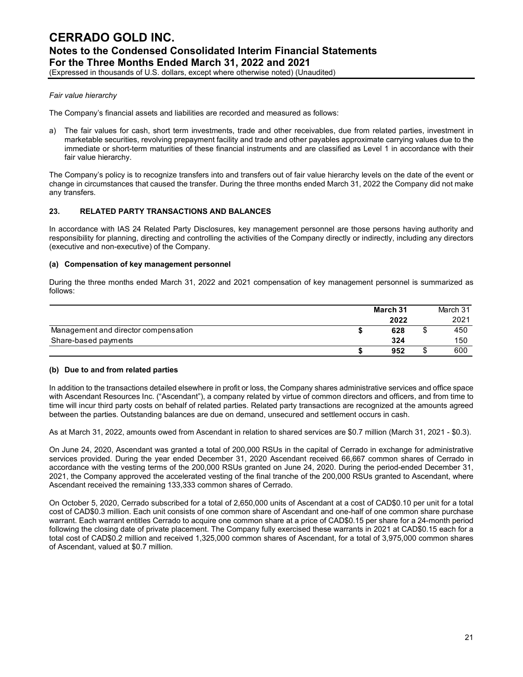## *Fair value hierarchy*

The Company's financial assets and liabilities are recorded and measured as follows:

a) The fair values for cash, short term investments, trade and other receivables, due from related parties, investment in marketable securities, revolving prepayment facility and trade and other payables approximate carrying values due to the immediate or short-term maturities of these financial instruments and are classified as Level 1 in accordance with their fair value hierarchy.

The Company's policy is to recognize transfers into and transfers out of fair value hierarchy levels on the date of the event or change in circumstances that caused the transfer. During the three months ended March 31, 2022 the Company did not make any transfers.

#### **23. RELATED PARTY TRANSACTIONS AND BALANCES**

In accordance with IAS 24 Related Party Disclosures, key management personnel are those persons having authority and responsibility for planning, directing and controlling the activities of the Company directly or indirectly, including any directors (executive and non-executive) of the Company.

#### **(a) Compensation of key management personnel**

During the three months ended March 31, 2022 and 2021 compensation of key management personnel is summarized as follows:

|                                      | March 31 |   | March 31 |
|--------------------------------------|----------|---|----------|
|                                      | 2022     |   | 2021     |
| Management and director compensation | 628      | S | 450      |
| Share-based payments                 | 324      |   | 150      |
|                                      | 952      | S | 600      |

#### **(b) Due to and from related parties**

In addition to the transactions detailed elsewhere in profit or loss, the Company shares administrative services and office space with Ascendant Resources Inc. ("Ascendant"), a company related by virtue of common directors and officers, and from time to time will incur third party costs on behalf of related parties. Related party transactions are recognized at the amounts agreed between the parties. Outstanding balances are due on demand, unsecured and settlement occurs in cash.

As at March 31, 2022, amounts owed from Ascendant in relation to shared services are \$0.7 million (March 31, 2021 - \$0.3).

On June 24, 2020, Ascendant was granted a total of 200,000 RSUs in the capital of Cerrado in exchange for administrative services provided. During the year ended December 31, 2020 Ascendant received 66,667 common shares of Cerrado in accordance with the vesting terms of the 200,000 RSUs granted on June 24, 2020. During the period-ended December 31, 2021, the Company approved the accelerated vesting of the final tranche of the 200,000 RSUs granted to Ascendant, where Ascendant received the remaining 133,333 common shares of Cerrado.

On October 5, 2020, Cerrado subscribed for a total of 2,650,000 units of Ascendant at a cost of CAD\$0.10 per unit for a total cost of CAD\$0.3 million. Each unit consists of one common share of Ascendant and one-half of one common share purchase warrant. Each warrant entitles Cerrado to acquire one common share at a price of CAD\$0.15 per share for a 24-month period following the closing date of private placement. The Company fully exercised these warrants in 2021 at CAD\$0.15 each for a total cost of CAD\$0.2 million and received 1,325,000 common shares of Ascendant, for a total of 3,975,000 common shares of Ascendant, valued at \$0.7 million.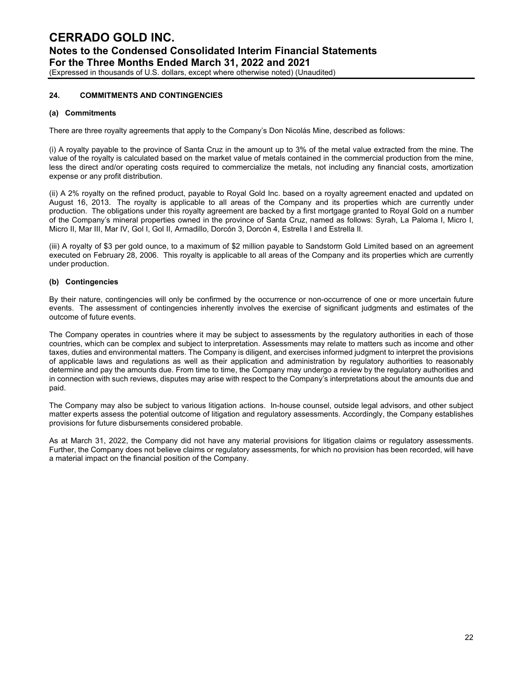(Expressed in thousands of U.S. dollars, except where otherwise noted) (Unaudited)

#### **24. COMMITMENTS AND CONTINGENCIES**

#### **(a) Commitments**

There are three royalty agreements that apply to the Company's Don Nicolás Mine, described as follows:

(i) A royalty payable to the province of Santa Cruz in the amount up to 3% of the metal value extracted from the mine. The value of the royalty is calculated based on the market value of metals contained in the commercial production from the mine, less the direct and/or operating costs required to commercialize the metals, not including any financial costs, amortization expense or any profit distribution.

(ii) A 2% royalty on the refined product, payable to Royal Gold Inc. based on a royalty agreement enacted and updated on August 16, 2013. The royalty is applicable to all areas of the Company and its properties which are currently under production. The obligations under this royalty agreement are backed by a first mortgage granted to Royal Gold on a number of the Company's mineral properties owned in the province of Santa Cruz, named as follows: Syrah, La Paloma I, Micro I, Micro II, Mar III, Mar IV, Gol I, Gol II, Armadillo, Dorcón 3, Dorcón 4, Estrella I and Estrella II.

(iii) A royalty of \$3 per gold ounce, to a maximum of \$2 million payable to Sandstorm Gold Limited based on an agreement executed on February 28, 2006. This royalty is applicable to all areas of the Company and its properties which are currently under production.

#### **(b) Contingencies**

By their nature, contingencies will only be confirmed by the occurrence or non-occurrence of one or more uncertain future events. The assessment of contingencies inherently involves the exercise of significant judgments and estimates of the outcome of future events.

The Company operates in countries where it may be subject to assessments by the regulatory authorities in each of those countries, which can be complex and subject to interpretation. Assessments may relate to matters such as income and other taxes, duties and environmental matters. The Company is diligent, and exercises informed judgment to interpret the provisions of applicable laws and regulations as well as their application and administration by regulatory authorities to reasonably determine and pay the amounts due. From time to time, the Company may undergo a review by the regulatory authorities and in connection with such reviews, disputes may arise with respect to the Company's interpretations about the amounts due and paid.

The Company may also be subject to various litigation actions. In-house counsel, outside legal advisors, and other subject matter experts assess the potential outcome of litigation and regulatory assessments. Accordingly, the Company establishes provisions for future disbursements considered probable.

As at March 31, 2022, the Company did not have any material provisions for litigation claims or regulatory assessments. Further, the Company does not believe claims or regulatory assessments, for which no provision has been recorded, will have a material impact on the financial position of the Company.